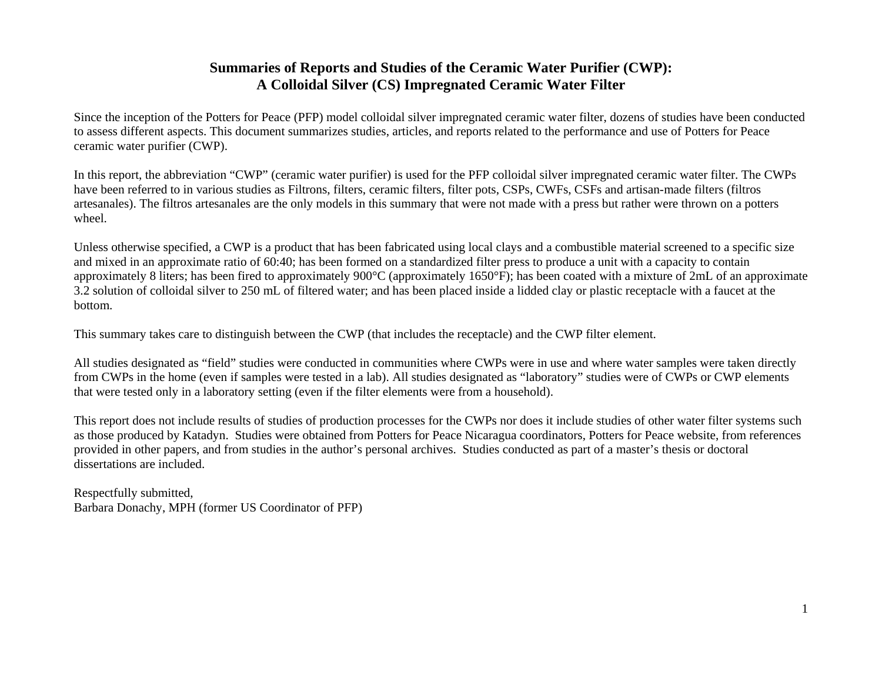## **Summaries of Reports and Studies of the Ceramic Water Purifier (CWP): A Colloidal Silver (CS) Impregnated Ceramic Water Filter**

Since the inception of the Potters for Peace (PFP) model colloidal silver impregnated ceramic water filter, dozens of studies have been conducted to assess different aspects. This document summarizes studies, articles, and reports related to the performance and use of Potters for Peace ceramic water purifier (CWP).

In this report, the abbreviation "CWP" (ceramic water purifier) is used for the PFP colloidal silver impregnated ceramic water filter. The CWPs have been referred to in various studies as Filtrons, filters, ceramic filters, filter pots, CSPs, CWFs, CSFs and artisan-made filters (filtros artesanales). The filtros artesanales are the only models in this summary that were not made with a press but rather were thrown on a potters wheel.

Unless otherwise specified, a CWP is a product that has been fabricated using local clays and a combustible material screened to a specific size and mixed in an approximate ratio of 60:40; has been formed on a standardized filter press to produce a unit with a capacity to contain approximately 8 liters; has been fired to approximately 900°C (approximately 1650°F); has been coated with a mixture of 2mL of an approximate 3.2 solution of colloidal silver to 250 mL of filtered water; and has been placed inside a lidded clay or plastic receptacle with a faucet at the bottom.

This summary takes care to distinguish between the CWP (that includes the receptacle) and the CWP filter element.

All studies designated as "field" studies were conducted in communities where CWPs were in use and where water samples were taken directly from CWPs in the home (even if samples were tested in a lab). All studies designated as "laboratory" studies were of CWPs or CWP elements that were tested only in a laboratory setting (even if the filter elements were from a household).

This report does not include results of studies of production processes for the CWPs nor does it include studies of other water filter systems such as those produced by Katadyn. Studies were obtained from Potters for Peace Nicaragua coordinators, Potters for Peace website, from references provided in other papers, and from studies in the author's personal archives. Studies conducted as part of a master's thesis or doctoral dissertations are included.

Respectfully submitted, Barbara Donachy, MPH (former US Coordinator of PFP)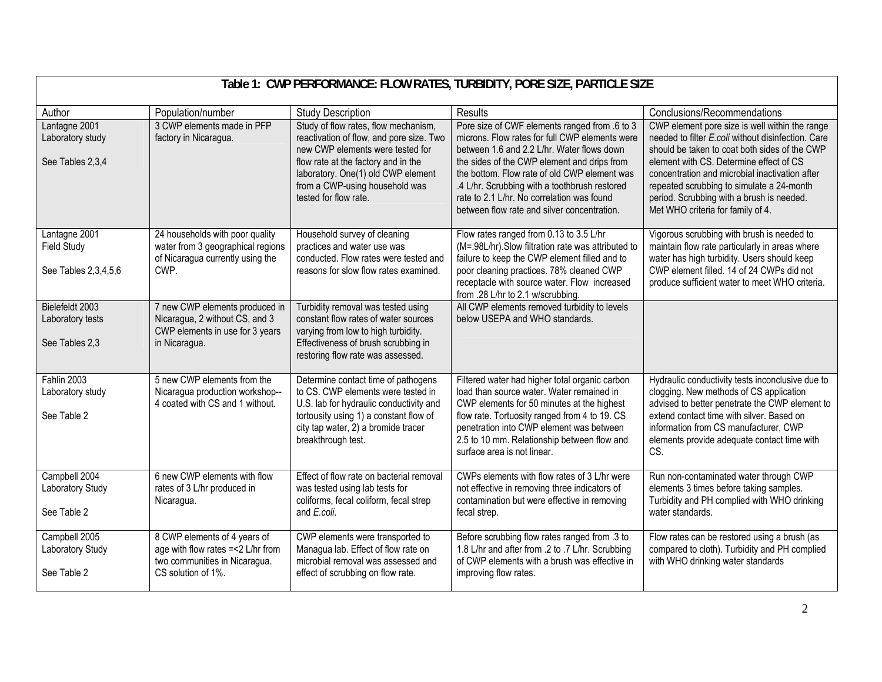| Table 1: CWP PERFORMANCE: FLOW RATES, TURBIDITY, PORE SIZE, PARTICLE SIZE |                                                                                                                           |                                                                                                                                                                                                                                                              |                                                                                                                                                                                                                                                                                                                                                                                            |                                                                                                                                                                                                                                                                                                                                                                                   |
|---------------------------------------------------------------------------|---------------------------------------------------------------------------------------------------------------------------|--------------------------------------------------------------------------------------------------------------------------------------------------------------------------------------------------------------------------------------------------------------|--------------------------------------------------------------------------------------------------------------------------------------------------------------------------------------------------------------------------------------------------------------------------------------------------------------------------------------------------------------------------------------------|-----------------------------------------------------------------------------------------------------------------------------------------------------------------------------------------------------------------------------------------------------------------------------------------------------------------------------------------------------------------------------------|
| Author                                                                    | Population/number                                                                                                         | <b>Study Description</b>                                                                                                                                                                                                                                     | Results                                                                                                                                                                                                                                                                                                                                                                                    | Conclusions/Recommendations                                                                                                                                                                                                                                                                                                                                                       |
| Lantagne 2001<br>Laboratory study<br>See Tables 2,3,4                     | 3 CWP elements made in PFP<br>factory in Nicaragua.                                                                       | Study of flow rates, flow mechanism,<br>reactivation of flow, and pore size. Two<br>new CWP elements were tested for<br>flow rate at the factory and in the<br>laboratory. One(1) old CWP element<br>from a CWP-using household was<br>tested for flow rate. | Pore size of CWF elements ranged from .6 to 3<br>microns. Flow rates for full CWP elements were<br>between 1.6 and 2.2 L/hr. Water flows down<br>the sides of the CWP element and drips from<br>the bottom. Flow rate of old CWP element was<br>.4 L/hr. Scrubbing with a toothbrush restored<br>rate to 2.1 L/hr. No correlation was found<br>between flow rate and silver concentration. | CWP element pore size is well within the range<br>needed to filter E.coli without disinfection. Care<br>should be taken to coat both sides of the CWP<br>element with CS. Determine effect of CS<br>concentration and microbial inactivation after<br>repeated scrubbing to simulate a 24-month<br>period. Scrubbing with a brush is needed.<br>Met WHO criteria for family of 4. |
| Lantagne 2001<br><b>Field Study</b><br>See Tables 2,3,4,5,6               | 24 households with poor quality<br>water from 3 geographical regions<br>of Nicaragua currently using the<br>CWP.          | Household survey of cleaning<br>practices and water use was<br>conducted. Flow rates were tested and<br>reasons for slow flow rates examined.                                                                                                                | Flow rates ranged from 0.13 to 3.5 L/hr<br>(M=.98L/hr). Slow filtration rate was attributed to<br>failure to keep the CWP element filled and to<br>poor cleaning practices. 78% cleaned CWP<br>receptacle with source water. Flow increased<br>from .28 L/hr to 2.1 w/scrubbing.                                                                                                           | Vigorous scrubbing with brush is needed to<br>maintain flow rate particularly in areas where<br>water has high turbidity. Users should keep<br>CWP element filled. 14 of 24 CWPs did not<br>produce sufficient water to meet WHO criteria.                                                                                                                                        |
| Bielefeldt 2003<br>Laboratory tests<br>See Tables 2,3                     | 7 new CWP elements produced in<br>Nicaragua, 2 without CS, and 3<br>CWP elements in use for 3 years<br>in Nicaragua.      | Turbidity removal was tested using<br>constant flow rates of water sources<br>varying from low to high turbidity.<br>Effectiveness of brush scrubbing in<br>restoring flow rate was assessed.                                                                | All CWP elements removed turbidity to levels<br>below USEPA and WHO standards.                                                                                                                                                                                                                                                                                                             |                                                                                                                                                                                                                                                                                                                                                                                   |
| Fahlin 2003<br>Laboratory study<br>See Table 2                            | 5 new CWP elements from the<br>Nicaragua production workshop--<br>4 coated with CS and 1 without.                         | Determine contact time of pathogens<br>to CS. CWP elements were tested in<br>U.S. lab for hydraulic conductivity and<br>tortousity using 1) a constant flow of<br>city tap water, 2) a bromide tracer<br>breakthrough test.                                  | Filtered water had higher total organic carbon<br>load than source water. Water remained in<br>CWP elements for 50 minutes at the highest<br>flow rate. Tortuosity ranged from 4 to 19. CS<br>penetration into CWP element was between<br>2.5 to 10 mm. Relationship between flow and<br>surface area is not linear.                                                                       | Hydraulic conductivity tests inconclusive due to<br>clogging. New methods of CS application<br>advised to better penetrate the CWP element to<br>extend contact time with silver. Based on<br>information from CS manufacturer, CWP<br>elements provide adequate contact time with<br>CS.                                                                                         |
| Campbell 2004<br>Laboratory Study<br>See Table 2                          | 6 new CWP elements with flow<br>rates of 3 L/hr produced in<br>Nicaragua.                                                 | Effect of flow rate on bacterial removal<br>was tested using lab tests for<br>coliforms, fecal coliform, fecal strep<br>and E.coli.                                                                                                                          | CWPs elements with flow rates of 3 L/hr were<br>not effective in removing three indicators of<br>contamination but were effective in removing<br>fecal strep.                                                                                                                                                                                                                              | Run non-contaminated water through CWP<br>elements 3 times before taking samples.<br>Turbidity and PH complied with WHO drinking<br>water standards.                                                                                                                                                                                                                              |
| Campbell 2005<br>Laboratory Study<br>See Table 2                          | 8 CWP elements of 4 years of<br>age with flow rates =< 2 L/hr from<br>two communities in Nicaragua.<br>CS solution of 1%. | CWP elements were transported to<br>Managua lab. Effect of flow rate on<br>microbial removal was assessed and<br>effect of scrubbing on flow rate.                                                                                                           | Before scrubbing flow rates ranged from .3 to<br>1.8 L/hr and after from .2 to .7 L/hr. Scrubbing<br>of CWP elements with a brush was effective in<br>improving flow rates.                                                                                                                                                                                                                | Flow rates can be restored using a brush (as<br>compared to cloth). Turbidity and PH complied<br>with WHO drinking water standards                                                                                                                                                                                                                                                |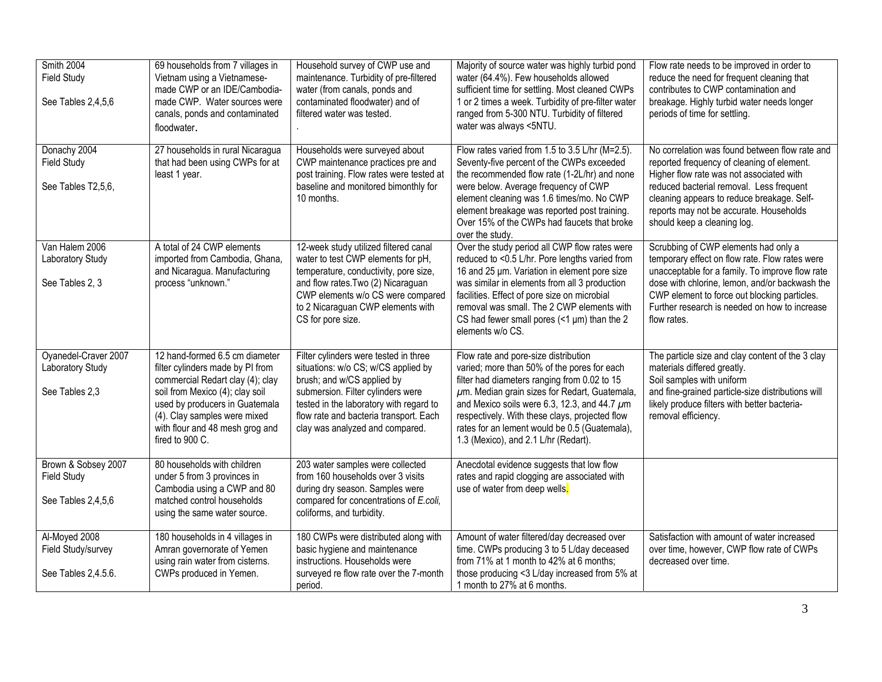| Smith 2004<br><b>Field Study</b><br>See Tables 2,4,5,6          | 69 households from 7 villages in<br>Vietnam using a Vietnamese-<br>made CWP or an IDE/Cambodia-<br>made CWP. Water sources were<br>canals, ponds and contaminated<br>floodwater.                                                                                  | Household survey of CWP use and<br>maintenance. Turbidity of pre-filtered<br>water (from canals, ponds and<br>contaminated floodwater) and of<br>filtered water was tested.                                                                                             | Majority of source water was highly turbid pond<br>water (64.4%). Few households allowed<br>sufficient time for settling. Most cleaned CWPs<br>1 or 2 times a week. Turbidity of pre-filter water<br>ranged from 5-300 NTU. Turbidity of filtered<br>water was always <5NTU.                                                                                                              | Flow rate needs to be improved in order to<br>reduce the need for frequent cleaning that<br>contributes to CWP contamination and<br>breakage. Highly turbid water needs longer<br>periods of time for settling.                                                                                              |
|-----------------------------------------------------------------|-------------------------------------------------------------------------------------------------------------------------------------------------------------------------------------------------------------------------------------------------------------------|-------------------------------------------------------------------------------------------------------------------------------------------------------------------------------------------------------------------------------------------------------------------------|-------------------------------------------------------------------------------------------------------------------------------------------------------------------------------------------------------------------------------------------------------------------------------------------------------------------------------------------------------------------------------------------|--------------------------------------------------------------------------------------------------------------------------------------------------------------------------------------------------------------------------------------------------------------------------------------------------------------|
| Donachy 2004<br><b>Field Study</b><br>See Tables T2,5,6,        | 27 households in rural Nicaragua<br>that had been using CWPs for at<br>least 1 year.                                                                                                                                                                              | Households were surveyed about<br>CWP maintenance practices pre and<br>post training. Flow rates were tested at<br>baseline and monitored bimonthly for<br>10 months.                                                                                                   | Flow rates varied from 1.5 to 3.5 L/hr (M=2.5).<br>Seventy-five percent of the CWPs exceeded<br>the recommended flow rate (1-2L/hr) and none<br>were below. Average frequency of CWP<br>element cleaning was 1.6 times/mo. No CWP<br>element breakage was reported post training.<br>Over 15% of the CWPs had faucets that broke<br>over the study.                                       | No correlation was found between flow rate and<br>reported frequency of cleaning of element.<br>Higher flow rate was not associated with<br>reduced bacterial removal. Less frequent<br>cleaning appears to reduce breakage. Self-<br>reports may not be accurate. Households<br>should keep a cleaning log. |
| Van Halem 2006<br>Laboratory Study<br>See Tables 2, 3           | A total of 24 CWP elements<br>imported from Cambodia, Ghana,<br>and Nicaragua. Manufacturing<br>process "unknown."                                                                                                                                                | 12-week study utilized filtered canal<br>water to test CWP elements for pH,<br>temperature, conductivity, pore size,<br>and flow rates. Two (2) Nicaraguan<br>CWP elements w/o CS were compared<br>to 2 Nicaraguan CWP elements with<br>CS for pore size.               | Over the study period all CWP flow rates were<br>reduced to <0.5 L/hr. Pore lengths varied from<br>16 and 25 µm. Variation in element pore size<br>was similar in elements from all 3 production<br>facilities. Effect of pore size on microbial<br>removal was small. The 2 CWP elements with<br>CS had fewer small pores $($ $1 \mu$ m $)$ than the 2<br>elements w/o CS.               | Scrubbing of CWP elements had only a<br>temporary effect on flow rate. Flow rates were<br>unacceptable for a family. To improve flow rate<br>dose with chlorine, lemon, and/or backwash the<br>CWP element to force out blocking particles.<br>Further research is needed on how to increase<br>flow rates.  |
| Oyanedel-Craver 2007<br>Laboratory Study<br>See Tables 2,3      | 12 hand-formed 6.5 cm diameter<br>filter cylinders made by PI from<br>commercial Redart clay (4); clay<br>soil from Mexico (4); clay soil<br>used by producers in Guatemala<br>(4). Clay samples were mixed<br>with flour and 48 mesh grog and<br>fired to 900 C. | Filter cylinders were tested in three<br>situations: w/o CS; w/CS applied by<br>brush; and w/CS applied by<br>submersion. Filter cylinders were<br>tested in the laboratory with regard to<br>flow rate and bacteria transport. Each<br>clay was analyzed and compared. | Flow rate and pore-size distribution<br>varied; more than 50% of the pores for each<br>filter had diameters ranging from 0.02 to 15<br>$\mu$ m. Median grain sizes for Redart, Guatemala,<br>and Mexico soils were 6.3, 12.3, and 44.7 $\mu$ m<br>respectively. With these clays, projected flow<br>rates for an lement would be 0.5 (Guatemala),<br>1.3 (Mexico), and 2.1 L/hr (Redart). | The particle size and clay content of the 3 clay<br>materials differed greatly.<br>Soil samples with uniform<br>and fine-grained particle-size distributions will<br>likely produce filters with better bacteria-<br>removal efficiency.                                                                     |
| Brown & Sobsey 2007<br><b>Field Study</b><br>See Tables 2,4,5,6 | 80 households with children<br>under 5 from 3 provinces in<br>Cambodia using a CWP and 80<br>matched control households<br>using the same water source.                                                                                                           | 203 water samples were collected<br>from 160 households over 3 visits<br>during dry season. Samples were<br>compared for concentrations of E.coli,<br>coliforms, and turbidity.                                                                                         | Anecdotal evidence suggests that low flow<br>rates and rapid clogging are associated with<br>use of water from deep wells.                                                                                                                                                                                                                                                                |                                                                                                                                                                                                                                                                                                              |
| Al-Moyed 2008<br>Field Study/survey<br>See Tables 2,4.5.6.      | 180 households in 4 villages in<br>Amran governorate of Yemen<br>using rain water from cisterns.<br>CWPs produced in Yemen.                                                                                                                                       | 180 CWPs were distributed along with<br>basic hygiene and maintenance<br>instructions. Households were<br>surveyed re flow rate over the 7-month<br>period.                                                                                                             | Amount of water filtered/day decreased over<br>time. CWPs producing 3 to 5 L/day deceased<br>from 71% at 1 month to 42% at 6 months;<br>those producing <3 L/day increased from 5% at<br>1 month to 27% at 6 months.                                                                                                                                                                      | Satisfaction with amount of water increased<br>over time, however, CWP flow rate of CWPs<br>decreased over time.                                                                                                                                                                                             |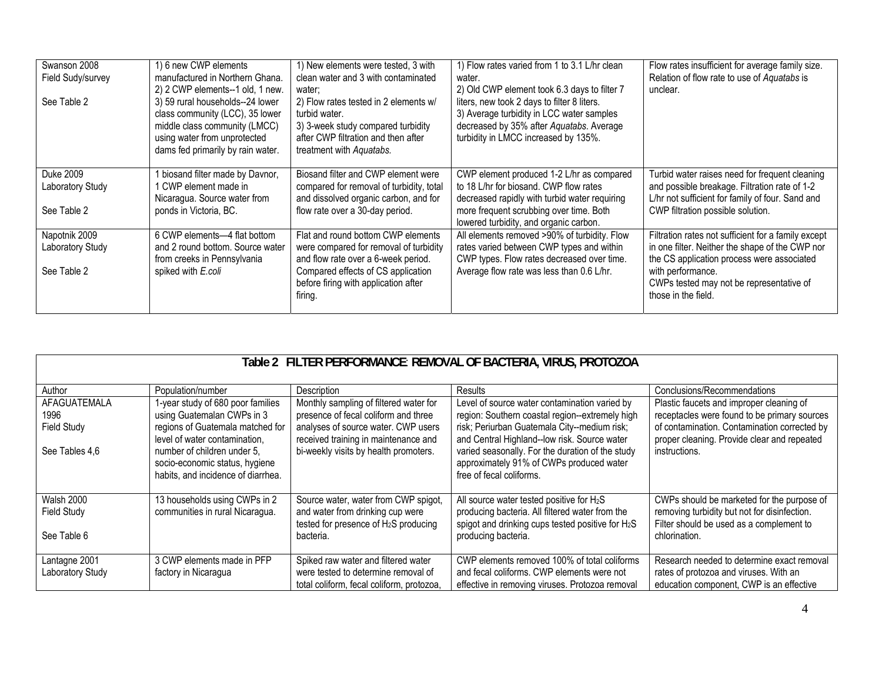| Swanson 2008<br>Field Sudy/survey<br>See Table 2 | 1) 6 new CWP elements<br>manufactured in Northern Ghana.<br>2) 2 CWP elements--1 old, 1 new.<br>3) 59 rural households--24 lower<br>class community (LCC), 35 lower<br>middle class community (LMCC)<br>using water from unprotected<br>dams fed primarily by rain water. | 1) New elements were tested, 3 with<br>clean water and 3 with contaminated<br>water;<br>2) Flow rates tested in 2 elements w/<br>turbid water.<br>3) 3-week study compared turbidity<br>after CWP filtration and then after<br>treatment with Aquatabs. | 1) Flow rates varied from 1 to 3.1 L/hr clean<br>water.<br>2) Old CWP element took 6.3 days to filter 7<br>liters, new took 2 days to filter 8 liters.<br>3) Average turbidity in LCC water samples<br>decreased by 35% after Aquatabs. Average<br>turbidity in LMCC increased by 135%. | Flow rates insufficient for average family size.<br>Relation of flow rate to use of Aquatabs is<br>unclear.                                                                                                                                  |
|--------------------------------------------------|---------------------------------------------------------------------------------------------------------------------------------------------------------------------------------------------------------------------------------------------------------------------------|---------------------------------------------------------------------------------------------------------------------------------------------------------------------------------------------------------------------------------------------------------|-----------------------------------------------------------------------------------------------------------------------------------------------------------------------------------------------------------------------------------------------------------------------------------------|----------------------------------------------------------------------------------------------------------------------------------------------------------------------------------------------------------------------------------------------|
| Duke 2009<br>Laboratory Study<br>See Table 2     | biosand filter made by Davnor,<br>CWP element made in<br>Nicaragua. Source water from<br>ponds in Victoria, BC.                                                                                                                                                           | Biosand filter and CWP element were<br>compared for removal of turbidity, total<br>and dissolved organic carbon, and for<br>flow rate over a 30-day period.                                                                                             | CWP element produced 1-2 L/hr as compared<br>to 18 L/hr for biosand. CWP flow rates<br>decreased rapidly with turbid water requiring<br>more frequent scrubbing over time. Both<br>lowered turbidity, and organic carbon.                                                               | Turbid water raises need for frequent cleaning<br>and possible breakage. Filtration rate of 1-2<br>L/hr not sufficient for family of four. Sand and<br>CWP filtration possible solution.                                                     |
| Napotnik 2009<br>Laboratory Study<br>See Table 2 | 6 CWP elements-4 flat bottom<br>and 2 round bottom. Source water<br>from creeks in Pennsylvania<br>spiked with E.coli                                                                                                                                                     | Flat and round bottom CWP elements<br>were compared for removal of turbidity<br>and flow rate over a 6-week period.<br>Compared effects of CS application<br>before firing with application after<br>firing.                                            | All elements removed >90% of turbidity. Flow<br>rates varied between CWP types and within<br>CWP types. Flow rates decreased over time.<br>Average flow rate was less than 0.6 L/hr.                                                                                                    | Filtration rates not sufficient for a family except<br>in one filter. Neither the shape of the CWP nor<br>the CS application process were associated<br>with performance.<br>CWPs tested may not be representative of<br>those in the field. |

| Table 2 FILTER PERFORMANCE: REMOVAL OF BACTERIA, VIRUS, PROTOZOA |                                                                                                     |                                                                             |                                                                                                                          |                                                                                             |
|------------------------------------------------------------------|-----------------------------------------------------------------------------------------------------|-----------------------------------------------------------------------------|--------------------------------------------------------------------------------------------------------------------------|---------------------------------------------------------------------------------------------|
| Author                                                           | Population/number                                                                                   | Description                                                                 | Results                                                                                                                  | Conclusions/Recommendations                                                                 |
| AFAGUATEMALA                                                     | 1-year study of 680 poor families                                                                   | Monthly sampling of filtered water for                                      | Level of source water contamination varied by                                                                            | Plastic faucets and improper cleaning of                                                    |
| 1996                                                             | using Guatemalan CWPs in 3                                                                          | presence of fecal coliform and three                                        | region: Southern coastal region--extremely high                                                                          | receptacles were found to be primary sources                                                |
| <b>Field Study</b>                                               | regions of Guatemala matched for<br>level of water contamination.                                   | analyses of source water. CWP users<br>received training in maintenance and | risk; Periurban Guatemala City--medium risk;<br>and Central Highland--low risk. Source water                             | of contamination. Contamination corrected by<br>proper cleaning. Provide clear and repeated |
| See Tables 4,6                                                   | number of children under 5.<br>socio-economic status, hygiene<br>habits, and incidence of diarrhea. | bi-weekly visits by health promoters.                                       | varied seasonally. For the duration of the study<br>approximately 91% of CWPs produced water<br>free of fecal coliforms. | instructions.                                                                               |
| Walsh 2000<br><b>Field Study</b>                                 | 13 households using CWPs in 2<br>communities in rural Nicaragua.                                    | Source water, water from CWP spigot,<br>and water from drinking cup were    | All source water tested positive for $H_2S$<br>producing bacteria. All filtered water from the                           | CWPs should be marketed for the purpose of<br>removing turbidity but not for disinfection.  |
| See Table 6                                                      |                                                                                                     | tested for presence of H <sub>2</sub> S producing<br>bacteria.              | spigot and drinking cups tested positive for H <sub>2</sub> S<br>producing bacteria.                                     | Filter should be used as a complement to<br>chlorination.                                   |
| Lantagne 2001                                                    | 3 CWP elements made in PFP                                                                          | Spiked raw water and filtered water                                         | CWP elements removed 100% of total coliforms                                                                             | Research needed to determine exact removal                                                  |
| Laboratory Study                                                 | factory in Nicaragua                                                                                | were tested to determine removal of                                         | and fecal coliforms. CWP elements were not                                                                               | rates of protozoa and viruses. With an                                                      |
|                                                                  |                                                                                                     | total coliform, fecal coliform, protozoa,                                   | effective in removing viruses. Protozoa removal                                                                          | education component, CWP is an effective                                                    |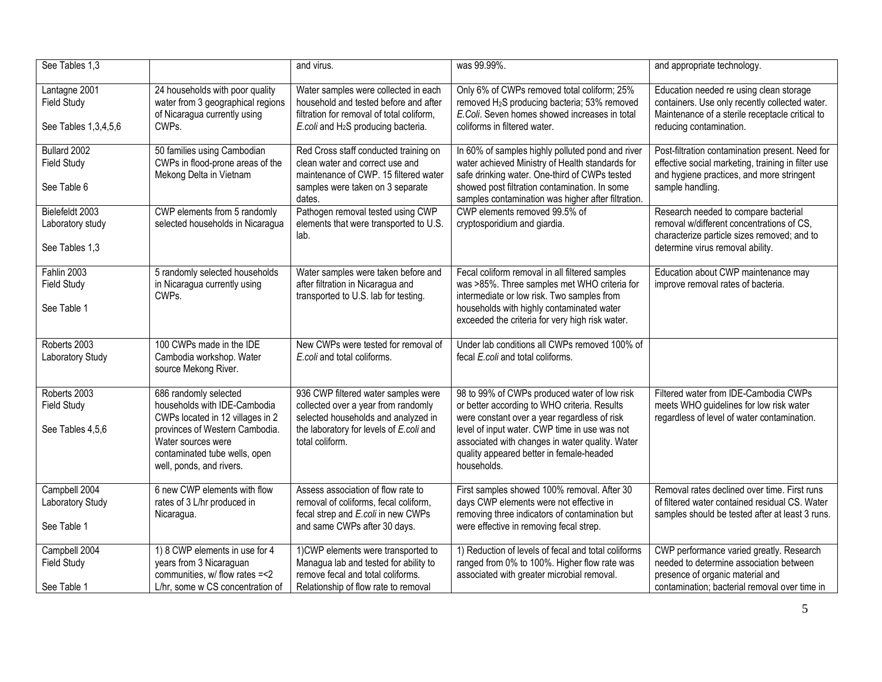| See Tables 1,3                                         |                                                                                                                                                                                    | and virus.                                                                                                                                                                      | was 99.99%.                                                                                                                                                                                                                                                                                  | and appropriate technology.                                                                                                                                              |
|--------------------------------------------------------|------------------------------------------------------------------------------------------------------------------------------------------------------------------------------------|---------------------------------------------------------------------------------------------------------------------------------------------------------------------------------|----------------------------------------------------------------------------------------------------------------------------------------------------------------------------------------------------------------------------------------------------------------------------------------------|--------------------------------------------------------------------------------------------------------------------------------------------------------------------------|
|                                                        |                                                                                                                                                                                    |                                                                                                                                                                                 |                                                                                                                                                                                                                                                                                              |                                                                                                                                                                          |
| Lantagne 2001<br><b>Field Study</b>                    | 24 households with poor quality<br>water from 3 geographical regions<br>of Nicaragua currently using                                                                               | Water samples were collected in each<br>household and tested before and after<br>filtration for removal of total coliform,                                                      | Only 6% of CWPs removed total coliform; 25%<br>removed H <sub>2</sub> S producing bacteria; 53% removed<br>E.Coli. Seven homes showed increases in total                                                                                                                                     | Education needed re using clean storage<br>containers. Use only recently collected water.<br>Maintenance of a sterile receptacle critical to                             |
| See Tables 1,3,4,5,6                                   | CWPs.                                                                                                                                                                              | E.coli and H <sub>2</sub> S producing bacteria.                                                                                                                                 | coliforms in filtered water.                                                                                                                                                                                                                                                                 | reducing contamination.                                                                                                                                                  |
| Bullard 2002<br><b>Field Study</b><br>See Table 6      | 50 families using Cambodian<br>CWPs in flood-prone areas of the<br>Mekong Delta in Vietnam                                                                                         | Red Cross staff conducted training on<br>clean water and correct use and<br>maintenance of CWP. 15 filtered water<br>samples were taken on 3 separate                           | In 60% of samples highly polluted pond and river<br>water achieved Ministry of Health standards for<br>safe drinking water. One-third of CWPs tested<br>showed post filtration contamination. In some                                                                                        | Post-filtration contamination present. Need for<br>effective social marketing, training in filter use<br>and hygiene practices, and more stringent<br>sample handling.   |
|                                                        |                                                                                                                                                                                    | dates.                                                                                                                                                                          | samples contamination was higher after filtration.                                                                                                                                                                                                                                           |                                                                                                                                                                          |
| Bielefeldt 2003<br>Laboratory study<br>See Tables 1,3  | CWP elements from 5 randomly<br>selected households in Nicaragua                                                                                                                   | Pathogen removal tested using CWP<br>elements that were transported to U.S.<br>lab.                                                                                             | CWP elements removed 99.5% of<br>cryptosporidium and giardia.                                                                                                                                                                                                                                | Research needed to compare bacterial<br>removal w/different concentrations of CS,<br>characterize particle sizes removed; and to<br>determine virus removal ability.     |
| Fahlin 2003<br><b>Field Study</b>                      | 5 randomly selected households<br>in Nicaragua currently using<br>CWPs.                                                                                                            | Water samples were taken before and<br>after filtration in Nicaragua and<br>transported to U.S. lab for testing.                                                                | Fecal coliform removal in all filtered samples<br>was >85%. Three samples met WHO criteria for<br>intermediate or low risk. Two samples from                                                                                                                                                 | Education about CWP maintenance may<br>improve removal rates of bacteria.                                                                                                |
| See Table 1                                            |                                                                                                                                                                                    |                                                                                                                                                                                 | households with highly contaminated water<br>exceeded the criteria for very high risk water.                                                                                                                                                                                                 |                                                                                                                                                                          |
| Roberts 2003<br>Laboratory Study                       | 100 CWPs made in the IDE<br>Cambodia workshop. Water<br>source Mekong River.                                                                                                       | New CWPs were tested for removal of<br>E.coli and total coliforms.                                                                                                              | Under lab conditions all CWPs removed 100% of<br>fecal E.coli and total coliforms.                                                                                                                                                                                                           |                                                                                                                                                                          |
| Roberts 2003<br><b>Field Study</b><br>See Tables 4,5,6 | 686 randomly selected<br>households with IDE-Cambodia<br>CWPs located in 12 villages in 2<br>provinces of Western Cambodia.<br>Water sources were<br>contaminated tube wells, open | 936 CWP filtered water samples were<br>collected over a year from randomly<br>selected households and analyzed in<br>the laboratory for levels of E.coli and<br>total coliform. | 98 to 99% of CWPs produced water of low risk<br>or better according to WHO criteria. Results<br>were constant over a year regardless of risk<br>level of input water. CWP time in use was not<br>associated with changes in water quality. Water<br>quality appeared better in female-headed | Filtered water from IDE-Cambodia CWPs<br>meets WHO guidelines for low risk water<br>regardless of level of water contamination.                                          |
|                                                        | well, ponds, and rivers.                                                                                                                                                           |                                                                                                                                                                                 | households.                                                                                                                                                                                                                                                                                  |                                                                                                                                                                          |
| Campbell 2004<br>Laboratory Study<br>See Table 1       | 6 new CWP elements with flow<br>rates of 3 L/hr produced in<br>Nicaragua.                                                                                                          | Assess association of flow rate to<br>removal of coliforms, fecal coliform,<br>fecal strep and E.coli in new CWPs<br>and same CWPs after 30 days.                               | First samples showed 100% removal. After 30<br>days CWP elements were not effective in<br>removing three indicators of contamination but<br>were effective in removing fecal strep.                                                                                                          | Removal rates declined over time. First runs<br>of filtered water contained residual CS. Water<br>samples should be tested after at least 3 runs.                        |
| Campbell 2004<br><b>Field Study</b><br>See Table 1     | 1) 8 CWP elements in use for 4<br>years from 3 Nicaraguan<br>communities, w/ flow rates =< 2<br>L/hr, some w CS concentration of                                                   | 1) CWP elements were transported to<br>Managua lab and tested for ability to<br>remove fecal and total coliforms.<br>Relationship of flow rate to removal                       | 1) Reduction of levels of fecal and total coliforms<br>ranged from 0% to 100%. Higher flow rate was<br>associated with greater microbial removal.                                                                                                                                            | CWP performance varied greatly. Research<br>needed to determine association between<br>presence of organic material and<br>contamination; bacterial removal over time in |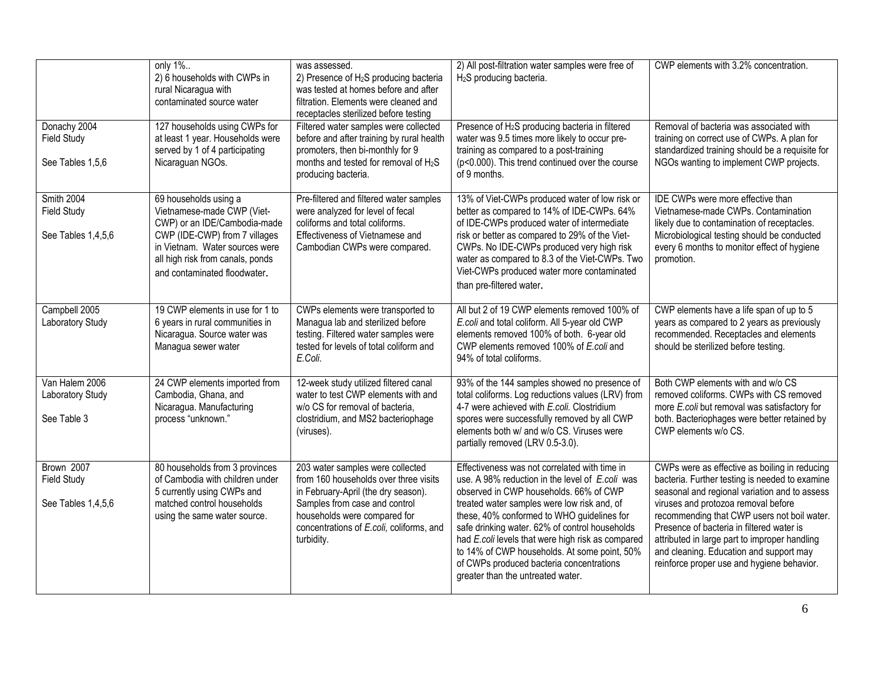|                                                        | only 1%<br>2) 6 households with CWPs in<br>rural Nicaragua with<br>contaminated source water                                                                                                                               | was assessed.<br>2) Presence of H <sub>2</sub> S producing bacteria<br>was tested at homes before and after<br>filtration. Elements were cleaned and<br>receptacles sterilized before testing                                               | 2) All post-filtration water samples were free of<br>H <sub>2</sub> S producing bacteria.                                                                                                                                                                                                                                                                                                                                                                                       | CWP elements with 3.2% concentration.                                                                                                                                                                                                                                                                                                                                                                                         |
|--------------------------------------------------------|----------------------------------------------------------------------------------------------------------------------------------------------------------------------------------------------------------------------------|---------------------------------------------------------------------------------------------------------------------------------------------------------------------------------------------------------------------------------------------|---------------------------------------------------------------------------------------------------------------------------------------------------------------------------------------------------------------------------------------------------------------------------------------------------------------------------------------------------------------------------------------------------------------------------------------------------------------------------------|-------------------------------------------------------------------------------------------------------------------------------------------------------------------------------------------------------------------------------------------------------------------------------------------------------------------------------------------------------------------------------------------------------------------------------|
| Donachy 2004<br><b>Field Study</b><br>See Tables 1,5,6 | 127 households using CWPs for<br>at least 1 year. Households were<br>served by 1 of 4 participating<br>Nicaraguan NGOs.                                                                                                    | Filtered water samples were collected<br>before and after training by rural health<br>promoters, then bi-monthly for 9<br>months and tested for removal of H <sub>2</sub> S<br>producing bacteria.                                          | Presence of H <sub>2</sub> S producing bacteria in filtered<br>water was 9.5 times more likely to occur pre-<br>training as compared to a post-training<br>(p<0.000). This trend continued over the course<br>of 9 months.                                                                                                                                                                                                                                                      | Removal of bacteria was associated with<br>training on correct use of CWPs. A plan for<br>standardized training should be a requisite for<br>NGOs wanting to implement CWP projects.                                                                                                                                                                                                                                          |
| Smith 2004<br><b>Field Study</b><br>See Tables 1,4,5,6 | 69 households using a<br>Vietnamese-made CWP (Viet-<br>CWP) or an IDE/Cambodia-made<br>CWP (IDE-CWP) from 7 villages<br>in Vietnam. Water sources were<br>all high risk from canals, ponds<br>and contaminated floodwater. | Pre-filtered and filtered water samples<br>were analyzed for level of fecal<br>coliforms and total coliforms.<br>Effectiveness of Vietnamese and<br>Cambodian CWPs were compared.                                                           | 13% of Viet-CWPs produced water of low risk or<br>better as compared to 14% of IDE-CWPs. 64%<br>of IDE-CWPs produced water of intermediate<br>risk or better as compared to 29% of the Viet-<br>CWPs. No IDE-CWPs produced very high risk<br>water as compared to 8.3 of the Viet-CWPs. Two<br>Viet-CWPs produced water more contaminated<br>than pre-filtered water.                                                                                                           | IDE CWPs were more effective than<br>Vietnamese-made CWPs. Contamination<br>likely due to contamination of receptacles.<br>Microbiological testing should be conducted<br>every 6 months to monitor effect of hygiene<br>promotion.                                                                                                                                                                                           |
| Campbell 2005<br>Laboratory Study                      | 19 CWP elements in use for 1 to<br>6 years in rural communities in<br>Nicaragua. Source water was<br>Managua sewer water                                                                                                   | CWPs elements were transported to<br>Managua lab and sterilized before<br>testing. Filtered water samples were<br>tested for levels of total coliform and<br>E.Coli.                                                                        | All but 2 of 19 CWP elements removed 100% of<br>E.coli and total coliform. All 5-year old CWP<br>elements removed 100% of both. 6-year old<br>CWP elements removed 100% of E.coli and<br>94% of total coliforms.                                                                                                                                                                                                                                                                | CWP elements have a life span of up to 5<br>years as compared to 2 years as previously<br>recommended. Receptacles and elements<br>should be sterilized before testing.                                                                                                                                                                                                                                                       |
| Van Halem 2006<br>Laboratory Study<br>See Table 3      | 24 CWP elements imported from<br>Cambodia, Ghana, and<br>Nicaragua. Manufacturing<br>process "unknown."                                                                                                                    | 12-week study utilized filtered canal<br>water to test CWP elements with and<br>w/o CS for removal of bacteria,<br>clostridium, and MS2 bacteriophage<br>(viruses).                                                                         | 93% of the 144 samples showed no presence of<br>total coliforms. Log reductions values (LRV) from<br>4-7 were achieved with E.coli. Clostridium<br>spores were successfully removed by all CWP<br>elements both w/ and w/o CS. Viruses were<br>partially removed (LRV 0.5-3.0).                                                                                                                                                                                                 | Both CWP elements with and w/o CS<br>removed coliforms. CWPs with CS removed<br>more E.coli but removal was satisfactory for<br>both. Bacteriophages were better retained by<br>CWP elements w/o CS.                                                                                                                                                                                                                          |
| Brown 2007<br><b>Field Study</b><br>See Tables 1,4,5,6 | 80 households from 3 provinces<br>of Cambodia with children under<br>5 currently using CWPs and<br>matched control households<br>using the same water source.                                                              | 203 water samples were collected<br>from 160 households over three visits<br>in February-April (the dry season).<br>Samples from case and control<br>households were compared for<br>concentrations of E.coli, coliforms, and<br>turbidity. | Effectiveness was not correlated with time in<br>use. A 98% reduction in the level of E.coli was<br>observed in CWP households. 66% of CWP<br>treated water samples were low risk and, of<br>these, 40% conformed to WHO guidelines for<br>safe drinking water. 62% of control households<br>had E.coli levels that were high risk as compared<br>to 14% of CWP households. At some point, 50%<br>of CWPs produced bacteria concentrations<br>greater than the untreated water. | CWPs were as effective as boiling in reducing<br>bacteria. Further testing is needed to examine<br>seasonal and regional variation and to assess<br>viruses and protozoa removal before<br>recommending that CWP users not boil water.<br>Presence of bacteria in filtered water is<br>attributed in large part to improper handling<br>and cleaning. Education and support may<br>reinforce proper use and hygiene behavior. |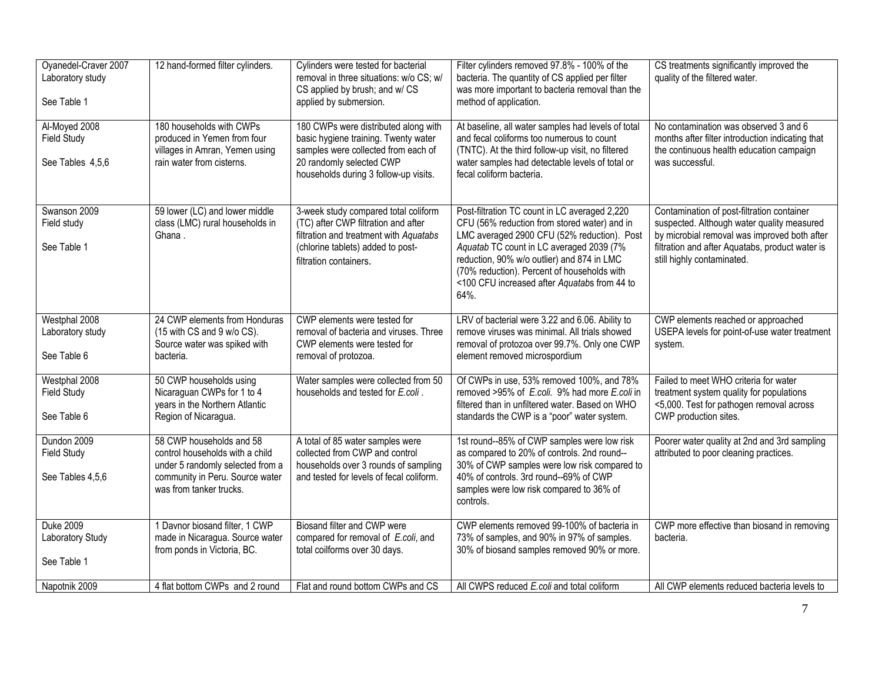| Oyanedel-Craver 2007<br>Laboratory study<br>See Table 1 | 12 hand-formed filter cylinders.                                                                                                                              | Cylinders were tested for bacterial<br>removal in three situations: w/o CS; w/<br>CS applied by brush; and w/ CS<br>applied by submersion.                                               | Filter cylinders removed 97.8% - 100% of the<br>bacteria. The quantity of CS applied per filter<br>was more important to bacteria removal than the<br>method of application.                                                                                                                                                                  | CS treatments significantly improved the<br>quality of the filtered water.                                                                                                                                                |
|---------------------------------------------------------|---------------------------------------------------------------------------------------------------------------------------------------------------------------|------------------------------------------------------------------------------------------------------------------------------------------------------------------------------------------|-----------------------------------------------------------------------------------------------------------------------------------------------------------------------------------------------------------------------------------------------------------------------------------------------------------------------------------------------|---------------------------------------------------------------------------------------------------------------------------------------------------------------------------------------------------------------------------|
| Al-Moyed 2008<br><b>Field Study</b><br>See Tables 4,5,6 | 180 households with CWPs<br>produced in Yemen from four<br>villages in Amran, Yemen using<br>rain water from cisterns.                                        | 180 CWPs were distributed along with<br>basic hygiene training. Twenty water<br>samples were collected from each of<br>20 randomly selected CWP<br>households during 3 follow-up visits. | At baseline, all water samples had levels of total<br>and fecal coliforms too numerous to count<br>(TNTC). At the third follow-up visit, no filtered<br>water samples had detectable levels of total or<br>fecal coliform bacteria.                                                                                                           | No contamination was observed 3 and 6<br>months after filter introduction indicating that<br>the continuous health education campaign<br>was successful.                                                                  |
| Swanson 2009<br>Field study<br>See Table 1              | 59 lower (LC) and lower middle<br>class (LMC) rural households in<br>Ghana.                                                                                   | 3-week study compared total coliform<br>(TC) after CWP filtration and after<br>filtration and treatment with Aquatabs<br>(chlorine tablets) added to post-<br>filtration containers.     | Post-filtration TC count in LC averaged 2,220<br>CFU (56% reduction from stored water) and in<br>LMC averaged 2900 CFU (52% reduction). Post<br>Aquatab TC count in LC averaged 2039 (7%<br>reduction, 90% w/o outlier) and 874 in LMC<br>(70% reduction). Percent of households with<br><100 CFU increased after Aquatabs from 44 to<br>64%. | Contamination of post-filtration container<br>suspected. Although water quality measured<br>by microbial removal was improved both after<br>filtration and after Aquatabs, product water is<br>still highly contaminated. |
| Westphal 2008<br>Laboratory study<br>See Table 6        | 24 CWP elements from Honduras<br>(15 with CS and 9 w/o CS).<br>Source water was spiked with<br>bacteria.                                                      | CWP elements were tested for<br>removal of bacteria and viruses. Three<br>CWP elements were tested for<br>removal of protozoa.                                                           | LRV of bacterial were 3.22 and 6.06. Ability to<br>remove viruses was minimal. All trials showed<br>removal of protozoa over 99.7%. Only one CWP<br>element removed microspordium                                                                                                                                                             | CWP elements reached or approached<br>USEPA levels for point-of-use water treatment<br>system.                                                                                                                            |
| Westphal 2008<br><b>Field Study</b><br>See Table 6      | 50 CWP households using<br>Nicaraguan CWPs for 1 to 4<br>years in the Northern Atlantic<br>Region of Nicaragua.                                               | Water samples were collected from 50<br>households and tested for E.coli.                                                                                                                | Of CWPs in use, 53% removed 100%, and 78%<br>removed >95% of E.coli. 9% had more E.coli in<br>filtered than in unfiltered water. Based on WHO<br>standards the CWP is a "poor" water system.                                                                                                                                                  | Failed to meet WHO criteria for water<br>treatment system quality for populations<br><5,000. Test for pathogen removal across<br>CWP production sites.                                                                    |
| Dundon 2009<br><b>Field Study</b><br>See Tables 4,5,6   | 58 CWP households and 58<br>control households with a child<br>under 5 randomly selected from a<br>community in Peru. Source water<br>was from tanker trucks. | A total of 85 water samples were<br>collected from CWP and control<br>households over 3 rounds of sampling<br>and tested for levels of fecal coliform.                                   | 1st round--85% of CWP samples were low risk<br>as compared to 20% of controls. 2nd round--<br>30% of CWP samples were low risk compared to<br>40% of controls. 3rd round--69% of CWP<br>samples were low risk compared to 36% of<br>controls.                                                                                                 | Poorer water quality at 2nd and 3rd sampling<br>attributed to poor cleaning practices.                                                                                                                                    |
| <b>Duke 2009</b><br>Laboratory Study<br>See Table 1     | 1 Davnor biosand filter, 1 CWP<br>made in Nicaragua. Source water<br>from ponds in Victoria, BC.                                                              | Biosand filter and CWP were<br>compared for removal of E.coli, and<br>total coilforms over 30 days.                                                                                      | CWP elements removed 99-100% of bacteria in<br>73% of samples, and 90% in 97% of samples.<br>30% of biosand samples removed 90% or more.                                                                                                                                                                                                      | CWP more effective than biosand in removing<br>bacteria.                                                                                                                                                                  |
| Napotnik 2009                                           | 4 flat bottom CWPs and 2 round                                                                                                                                | Flat and round bottom CWPs and CS                                                                                                                                                        | All CWPS reduced E.coli and total coliform                                                                                                                                                                                                                                                                                                    | All CWP elements reduced bacteria levels to                                                                                                                                                                               |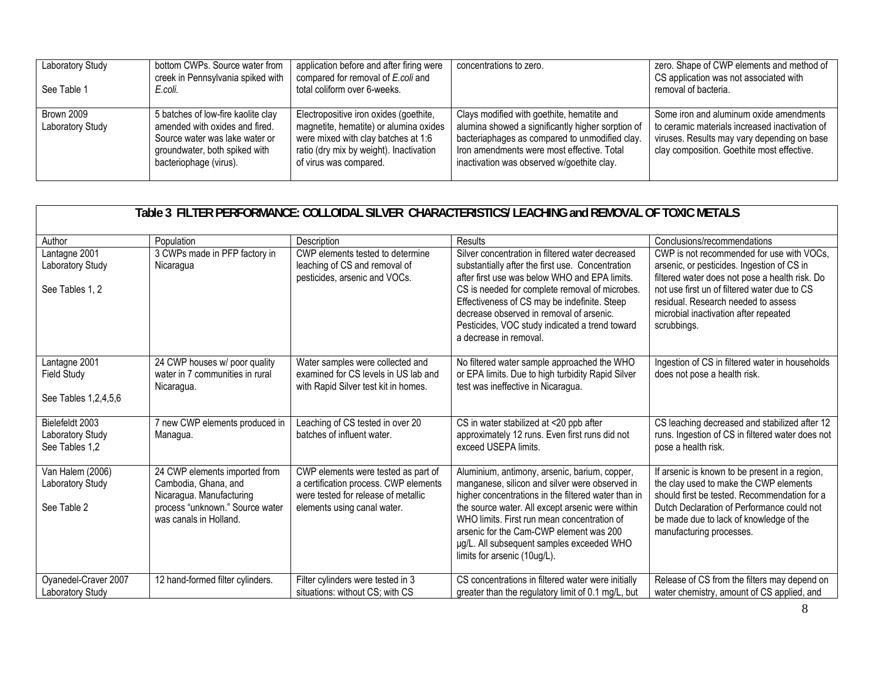| Laboratory Study<br>See Table 1       | bottom CWPs. Source water from<br>creek in Pennsylvania spiked with<br>E.coli.                                                                                    | application before and after firing were<br>compared for removal of E.coli and<br>total coliform over 6-weeks.                                                                               | concentrations to zero.                                                                                                                                                                                                                       | zero. Shape of CWP elements and method of<br>CS application was not associated with<br>removal of bacteria.                                                                            |
|---------------------------------------|-------------------------------------------------------------------------------------------------------------------------------------------------------------------|----------------------------------------------------------------------------------------------------------------------------------------------------------------------------------------------|-----------------------------------------------------------------------------------------------------------------------------------------------------------------------------------------------------------------------------------------------|----------------------------------------------------------------------------------------------------------------------------------------------------------------------------------------|
| <b>Brown 2009</b><br>Laboratory Study | 5 batches of low-fire kaolite clay<br>amended with oxides and fired.<br>Source water was lake water or<br>groundwater, both spiked with<br>bacteriophage (virus). | Electropositive iron oxides (goethite,<br>magnetite, hematite) or alumina oxides<br>were mixed with clay batches at 1:6<br>ratio (dry mix by weight). Inactivation<br>of virus was compared. | Clays modified with goethite, hematite and<br>alumina showed a significantly higher sorption of<br>bacteriaphages as compared to unmodified clay.<br>Iron amendments were most effective. Total<br>inactivation was observed w/goethite clay. | Some iron and aluminum oxide amendments<br>to ceramic materials increased inactivation of<br>viruses. Results may vary depending on base<br>clay composition. Goethite most effective. |

|                                                             | Table 3_FILTER PERFORMANCE: COLLOIDAL SILVER_CHARACTERISTICS/ LEACHING and REMOVAL OF TOXIC METALS                                             |                                                                                                                                                    |                                                                                                                                                                                                                                                                                                                                                                                   |                                                                                                                                                                                                                                                                                          |  |
|-------------------------------------------------------------|------------------------------------------------------------------------------------------------------------------------------------------------|----------------------------------------------------------------------------------------------------------------------------------------------------|-----------------------------------------------------------------------------------------------------------------------------------------------------------------------------------------------------------------------------------------------------------------------------------------------------------------------------------------------------------------------------------|------------------------------------------------------------------------------------------------------------------------------------------------------------------------------------------------------------------------------------------------------------------------------------------|--|
| Author                                                      | Population                                                                                                                                     | Description                                                                                                                                        | Results                                                                                                                                                                                                                                                                                                                                                                           | Conclusions/recommendations                                                                                                                                                                                                                                                              |  |
| Lantagne 2001<br>Laboratory Study<br>See Tables 1, 2        | 3 CWPs made in PFP factory in<br>Nicaragua                                                                                                     | CWP elements tested to determine<br>leaching of CS and removal of<br>pesticides, arsenic and VOCs.                                                 | Silver concentration in filtered water decreased<br>substantially after the first use. Concentration<br>after first use was below WHO and EPA limits.<br>CS is needed for complete removal of microbes.<br>Effectiveness of CS may be indefinite. Steep<br>decrease observed in removal of arsenic.<br>Pesticides, VOC study indicated a trend toward<br>a decrease in removal.   | CWP is not recommended for use with VOCs,<br>arsenic, or pesticides. Ingestion of CS in<br>filtered water does not pose a health risk. Do<br>not use first un of filtered water due to CS<br>residual. Research needed to assess<br>microbial inactivation after repeated<br>scrubbings. |  |
| Lantagne 2001<br><b>Field Study</b><br>See Tables 1,2,4,5,6 | 24 CWP houses w/ poor quality<br>water in 7 communities in rural<br>Nicaragua.                                                                 | Water samples were collected and<br>examined for CS levels in US lab and<br>with Rapid Silver test kit in homes.                                   | No filtered water sample approached the WHO<br>or EPA limits. Due to high turbidity Rapid Silver<br>test was ineffective in Nicaragua.                                                                                                                                                                                                                                            | Ingestion of CS in filtered water in households<br>does not pose a health risk.                                                                                                                                                                                                          |  |
| Bielefeldt 2003<br>Laboratory Study<br>See Tables 1,2       | 7 new CWP elements produced in<br>Managua.                                                                                                     | Leaching of CS tested in over 20<br>batches of influent water.                                                                                     | CS in water stabilized at <20 ppb after<br>approximately 12 runs. Even first runs did not<br>exceed USEPA limits.                                                                                                                                                                                                                                                                 | CS leaching decreased and stabilized after 12<br>runs. Ingestion of CS in filtered water does not<br>pose a health risk.                                                                                                                                                                 |  |
| Van Halem (2006)<br>Laboratory Study<br>See Table 2         | 24 CWP elements imported from<br>Cambodia, Ghana, and<br>Nicaragua. Manufacturing<br>process "unknown." Source water<br>was canals in Holland. | CWP elements were tested as part of<br>a certification process. CWP elements<br>were tested for release of metallic<br>elements using canal water. | Aluminium, antimony, arsenic, barium, copper,<br>manganese, silicon and silver were observed in<br>higher concentrations in the filtered water than in<br>the source water. All except arsenic were within<br>WHO limits. First run mean concentration of<br>arsenic for the Cam-CWP element was 200<br>ug/L. All subsequent samples exceeded WHO<br>limits for arsenic (10ug/L). | If arsenic is known to be present in a region,<br>the clay used to make the CWP elements<br>should first be tested. Recommendation for a<br>Dutch Declaration of Performance could not<br>be made due to lack of knowledge of the<br>manufacturing processes.                            |  |
| Oyanedel-Craver 2007<br><b>Laboratory Study</b>             | 12 hand-formed filter cylinders.                                                                                                               | Filter cylinders were tested in 3<br>situations: without CS; with CS                                                                               | CS concentrations in filtered water were initially<br>greater than the regulatory limit of 0.1 mg/L, but                                                                                                                                                                                                                                                                          | Release of CS from the filters may depend on<br>water chemistry, amount of CS applied, and                                                                                                                                                                                               |  |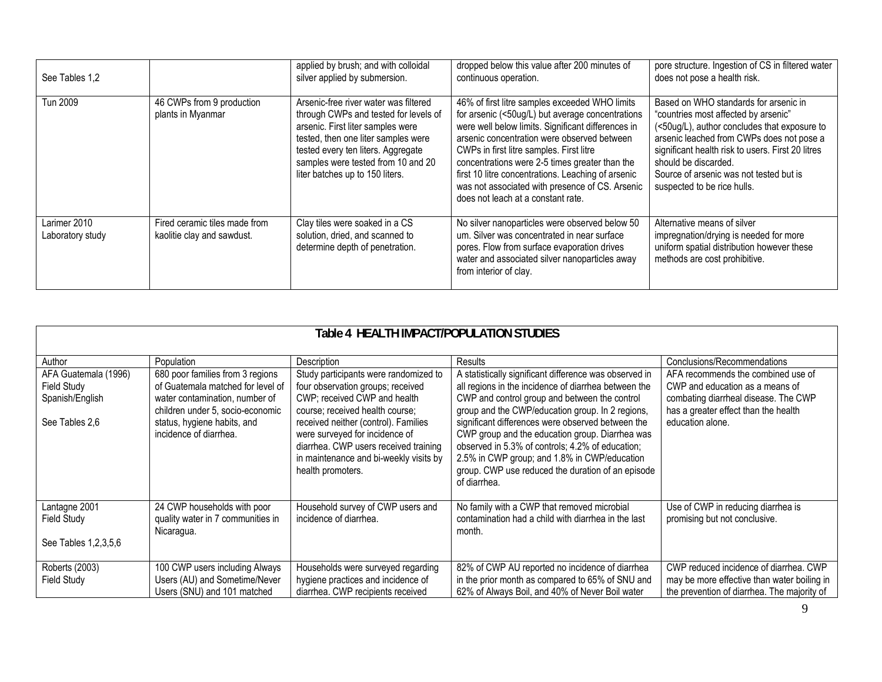| See Tables 1,2                   |                                                             | applied by brush; and with colloidal<br>silver applied by submersion.                                                                                                                                                                                                     | dropped below this value after 200 minutes of<br>continuous operation.                                                                                                                                                                                                                                                                                                                                                                               | pore structure. Ingestion of CS in filtered water<br>does not pose a health risk.                                                                                                                                                                                                                                                 |
|----------------------------------|-------------------------------------------------------------|---------------------------------------------------------------------------------------------------------------------------------------------------------------------------------------------------------------------------------------------------------------------------|------------------------------------------------------------------------------------------------------------------------------------------------------------------------------------------------------------------------------------------------------------------------------------------------------------------------------------------------------------------------------------------------------------------------------------------------------|-----------------------------------------------------------------------------------------------------------------------------------------------------------------------------------------------------------------------------------------------------------------------------------------------------------------------------------|
| Tun 2009                         | 46 CWPs from 9 production<br>plants in Myanmar              | Arsenic-free river water was filtered<br>through CWPs and tested for levels of<br>arsenic. First liter samples were<br>tested, then one liter samples were<br>tested every ten liters. Aggregate<br>samples were tested from 10 and 20<br>liter batches up to 150 liters. | 46% of first litre samples exceeded WHO limits<br>for arsenic (<50ug/L) but average concentrations<br>were well below limits. Significant differences in<br>arsenic concentration were observed between<br>CWPs in first litre samples. First litre<br>concentrations were 2-5 times greater than the<br>first 10 litre concentrations. Leaching of arsenic<br>was not associated with presence of CS. Arsenic<br>does not leach at a constant rate. | Based on WHO standards for arsenic in<br>"countries most affected by arsenic"<br>(<50ug/L), author concludes that exposure to<br>arsenic leached from CWPs does not pose a<br>significant health risk to users. First 20 litres<br>should be discarded.<br>Source of arsenic was not tested but is<br>suspected to be rice hulls. |
| Larimer 2010<br>Laboratory study | Fired ceramic tiles made from<br>kaolitie clay and sawdust. | Clay tiles were soaked in a CS<br>solution, dried, and scanned to<br>determine depth of penetration.                                                                                                                                                                      | No silver nanoparticles were observed below 50<br>um. Silver was concentrated in near surface<br>pores. Flow from surface evaporation drives<br>water and associated silver nanoparticles away<br>from interior of clay.                                                                                                                                                                                                                             | Alternative means of silver<br>impregnation/drying is needed for more<br>uniform spatial distribution however these<br>methods are cost prohibitive.                                                                                                                                                                              |

| Table 4 HEALTH IMPACT/POPULATION STUDIES                                 |                                                                                                                                                                                                      |                                                                                                                                                                                                                                                                                                                                 |                                                                                                                                                                                                                                                                                                                                                                                                                                                                                                      |                                                                                                                                                                           |
|--------------------------------------------------------------------------|------------------------------------------------------------------------------------------------------------------------------------------------------------------------------------------------------|---------------------------------------------------------------------------------------------------------------------------------------------------------------------------------------------------------------------------------------------------------------------------------------------------------------------------------|------------------------------------------------------------------------------------------------------------------------------------------------------------------------------------------------------------------------------------------------------------------------------------------------------------------------------------------------------------------------------------------------------------------------------------------------------------------------------------------------------|---------------------------------------------------------------------------------------------------------------------------------------------------------------------------|
| Author                                                                   | Population                                                                                                                                                                                           | Description                                                                                                                                                                                                                                                                                                                     | <b>Results</b>                                                                                                                                                                                                                                                                                                                                                                                                                                                                                       | Conclusions/Recommendations                                                                                                                                               |
| AFA Guatemala (1996)<br>Field Study<br>Spanish/English<br>See Tables 2.6 | 680 poor families from 3 regions<br>of Guatemala matched for level of<br>water contamination, number of<br>children under 5, socio-economic<br>status, hygiene habits, and<br>incidence of diarrhea. | Study participants were randomized to<br>four observation groups; received<br>CWP; received CWP and health<br>course; received health course;<br>received neither (control). Families<br>were surveyed for incidence of<br>diarrhea. CWP users received training<br>in maintenance and bi-weekly visits by<br>health promoters. | A statistically significant difference was observed in<br>all regions in the incidence of diarrhea between the<br>CWP and control group and between the control<br>group and the CWP/education group. In 2 regions,<br>significant differences were observed between the<br>CWP group and the education group. Diarrhea was<br>observed in 5.3% of controls; 4.2% of education;<br>2.5% in CWP group; and 1.8% in CWP/education<br>group. CWP use reduced the duration of an episode<br>of diarrhea. | AFA recommends the combined use of<br>CWP and education as a means of<br>combating diarrheal disease. The CWP<br>has a greater effect than the health<br>education alone. |
| Lantagne 2001<br>Field Study<br>See Tables 1, 2, 3, 5, 6                 | 24 CWP households with poor<br>quality water in 7 communities in<br>Nicaragua.                                                                                                                       | Household survey of CWP users and<br>incidence of diarrhea.                                                                                                                                                                                                                                                                     | No family with a CWP that removed microbial<br>contamination had a child with diarrhea in the last<br>month.                                                                                                                                                                                                                                                                                                                                                                                         | Use of CWP in reducing diarrhea is<br>promising but not conclusive.                                                                                                       |
| Roberts (2003)<br>Field Study                                            | 100 CWP users including Always<br>Users (AU) and Sometime/Never<br>Users (SNU) and 101 matched                                                                                                       | Households were surveyed regarding<br>hygiene practices and incidence of<br>diarrhea. CWP recipients received                                                                                                                                                                                                                   | 82% of CWP AU reported no incidence of diarrhea<br>in the prior month as compared to 65% of SNU and<br>62% of Always Boil, and 40% of Never Boil water                                                                                                                                                                                                                                                                                                                                               | CWP reduced incidence of diarrhea. CWP<br>may be more effective than water boiling in<br>the prevention of diarrhea. The majority of                                      |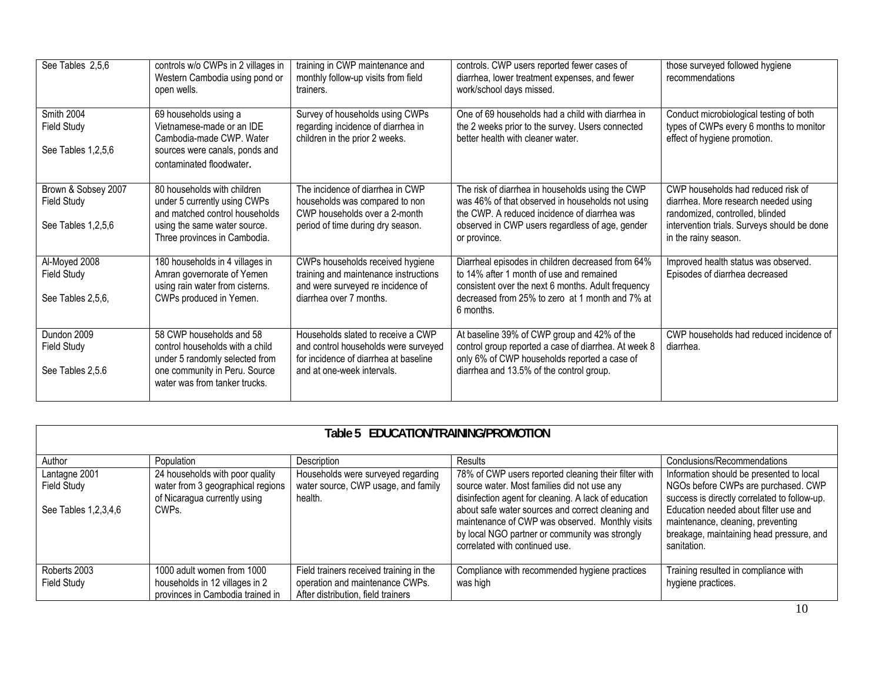| See Tables 2,5,6                                         | controls w/o CWPs in 2 villages in<br>Western Cambodia using pond or<br>open wells.                                                                             | training in CWP maintenance and<br>monthly follow-up visits from field<br>trainers.                                                               | controls. CWP users reported fewer cases of<br>diarrhea, lower treatment expenses, and fewer<br>work/school days missed.                                                                                                | those surveyed followed hygiene<br>recommendations                                                                                                                                   |
|----------------------------------------------------------|-----------------------------------------------------------------------------------------------------------------------------------------------------------------|---------------------------------------------------------------------------------------------------------------------------------------------------|-------------------------------------------------------------------------------------------------------------------------------------------------------------------------------------------------------------------------|--------------------------------------------------------------------------------------------------------------------------------------------------------------------------------------|
| Smith 2004<br>Field Study<br>See Tables 1,2,5,6          | 69 households using a<br>Vietnamese-made or an IDE<br>Cambodia-made CWP. Water<br>sources were canals, ponds and<br>contaminated floodwater.                    | Survey of households using CWPs<br>regarding incidence of diarrhea in<br>children in the prior 2 weeks.                                           | One of 69 households had a child with diarrhea in<br>the 2 weeks prior to the survey. Users connected<br>better health with cleaner water.                                                                              | Conduct microbiological testing of both<br>types of CWPs every 6 months to monitor<br>effect of hygiene promotion.                                                                   |
| Brown & Sobsey 2007<br>Field Study<br>See Tables 1,2,5,6 | 80 households with children<br>under 5 currently using CWPs<br>and matched control households<br>using the same water source.<br>Three provinces in Cambodia.   | The incidence of diarrhea in CWP<br>households was compared to non<br>CWP households over a 2-month<br>period of time during dry season.          | The risk of diarrhea in households using the CWP<br>was 46% of that observed in households not using<br>the CWP. A reduced incidence of diarrhea was<br>observed in CWP users regardless of age, gender<br>or province. | CWP households had reduced risk of<br>diarrhea. More research needed using<br>randomized, controlled, blinded<br>intervention trials. Surveys should be done<br>in the rainy season. |
| Al-Moyed 2008<br><b>Field Study</b><br>See Tables 2,5,6, | 180 households in 4 villages in<br>Amran governorate of Yemen<br>using rain water from cisterns.<br>CWPs produced in Yemen.                                     | CWPs households received hygiene<br>training and maintenance instructions<br>and were surveyed re incidence of<br>diarrhea over 7 months.         | Diarrheal episodes in children decreased from 64%<br>to 14% after 1 month of use and remained<br>consistent over the next 6 months. Adult frequency<br>decreased from 25% to zero at 1 month and 7% at<br>6 months.     | Improved health status was observed.<br>Episodes of diarrhea decreased                                                                                                               |
| Dundon 2009<br>Field Study<br>See Tables 2,5.6           | 58 CWP households and 58<br>control households with a child<br>under 5 randomly selected from<br>one community in Peru. Source<br>water was from tanker trucks. | Households slated to receive a CWP<br>and control households were surveyed<br>for incidence of diarrhea at baseline<br>and at one-week intervals. | At baseline 39% of CWP group and 42% of the<br>control group reported a case of diarrhea. At week 8<br>only 6% of CWP households reported a case of<br>diarrhea and 13.5% of the control group.                         | CWP households had reduced incidence of<br>diarrhea.                                                                                                                                 |

| EDUCATION/TRAINING/PROMOTION<br>Table 5. |                                                                                                      |                                                                                                                  |                                                                                                                                                                                          |                                                                                                                                       |
|------------------------------------------|------------------------------------------------------------------------------------------------------|------------------------------------------------------------------------------------------------------------------|------------------------------------------------------------------------------------------------------------------------------------------------------------------------------------------|---------------------------------------------------------------------------------------------------------------------------------------|
| Author                                   | Population                                                                                           | Description                                                                                                      | Results                                                                                                                                                                                  | Conclusions/Recommendations                                                                                                           |
| Lantagne 2001<br>Field Study             | 24 households with poor quality<br>water from 3 geographical regions<br>of Nicaragua currently using | Households were surveyed regarding<br>water source, CWP usage, and family<br>health.                             | 78% of CWP users reported cleaning their filter with<br>source water. Most families did not use any<br>disinfection agent for cleaning. A lack of education                              | Information should be presented to local<br>NGOs before CWPs are purchased. CWP<br>success is directly correlated to follow-up.       |
| See Tables 1,2,3,4,6                     | CWPs.                                                                                                |                                                                                                                  | about safe water sources and correct cleaning and<br>maintenance of CWP was observed. Monthly visits<br>by local NGO partner or community was strongly<br>correlated with continued use. | Education needed about filter use and<br>maintenance, cleaning, preventing<br>breakage, maintaining head pressure, and<br>sanitation. |
| Roberts 2003<br>Field Study              | 1000 adult women from 1000<br>households in 12 villages in 2<br>provinces in Cambodia trained in     | Field trainers received training in the<br>operation and maintenance CWPs.<br>After distribution, field trainers | Compliance with recommended hygiene practices<br>was high                                                                                                                                | Training resulted in compliance with<br>hygiene practices.                                                                            |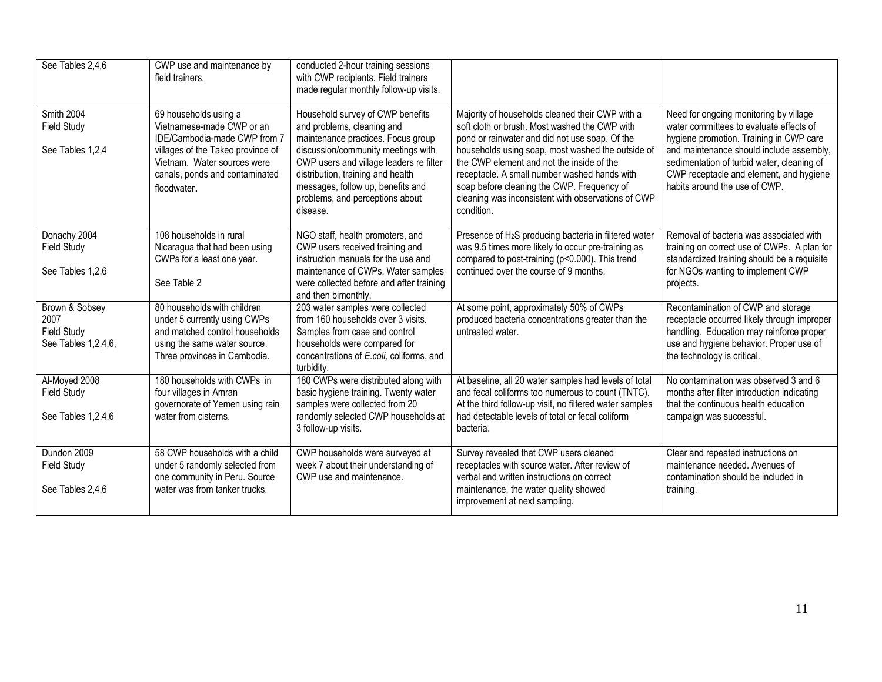| See Tables 2,4,6                                                    | CWP use and maintenance by<br>field trainers.                                                                                                                                                           | conducted 2-hour training sessions<br>with CWP recipients. Field trainers<br>made regular monthly follow-up visits.                                                                                                                                                                                            |                                                                                                                                                                                                                                                                                                                                                                                                                        |                                                                                                                                                                                                                                                                                                    |
|---------------------------------------------------------------------|---------------------------------------------------------------------------------------------------------------------------------------------------------------------------------------------------------|----------------------------------------------------------------------------------------------------------------------------------------------------------------------------------------------------------------------------------------------------------------------------------------------------------------|------------------------------------------------------------------------------------------------------------------------------------------------------------------------------------------------------------------------------------------------------------------------------------------------------------------------------------------------------------------------------------------------------------------------|----------------------------------------------------------------------------------------------------------------------------------------------------------------------------------------------------------------------------------------------------------------------------------------------------|
| Smith 2004<br><b>Field Study</b><br>See Tables 1,2,4                | 69 households using a<br>Vietnamese-made CWP or an<br>IDE/Cambodia-made CWP from 7<br>villages of the Takeo province of<br>Vietnam. Water sources were<br>canals, ponds and contaminated<br>floodwater. | Household survey of CWP benefits<br>and problems, cleaning and<br>maintenance practices. Focus group<br>discussion/community meetings with<br>CWP users and village leaders re filter<br>distribution, training and health<br>messages, follow up, benefits and<br>problems, and perceptions about<br>disease. | Majority of households cleaned their CWP with a<br>soft cloth or brush. Most washed the CWP with<br>pond or rainwater and did not use soap. Of the<br>households using soap, most washed the outside of<br>the CWP element and not the inside of the<br>receptacle. A small number washed hands with<br>soap before cleaning the CWP. Frequency of<br>cleaning was inconsistent with observations of CWP<br>condition. | Need for ongoing monitoring by village<br>water committees to evaluate effects of<br>hygiene promotion. Training in CWP care<br>and maintenance should include assembly,<br>sedimentation of turbid water, cleaning of<br>CWP receptacle and element, and hygiene<br>habits around the use of CWP. |
| Donachy 2004<br><b>Field Study</b><br>See Tables 1,2,6              | 108 households in rural<br>Nicaragua that had been using<br>CWPs for a least one year.<br>See Table 2                                                                                                   | NGO staff, health promoters, and<br>CWP users received training and<br>instruction manuals for the use and<br>maintenance of CWPs. Water samples<br>were collected before and after training<br>and then bimonthly.                                                                                            | Presence of H <sub>2</sub> S producing bacteria in filtered water<br>was 9.5 times more likely to occur pre-training as<br>compared to post-training (p<0.000). This trend<br>continued over the course of 9 months.                                                                                                                                                                                                   | Removal of bacteria was associated with<br>training on correct use of CWPs. A plan for<br>standardized training should be a requisite<br>for NGOs wanting to implement CWP<br>projects.                                                                                                            |
| Brown & Sobsey<br>2007<br><b>Field Study</b><br>See Tables 1,2,4,6, | 80 households with children<br>under 5 currently using CWPs<br>and matched control households<br>using the same water source.<br>Three provinces in Cambodia.                                           | 203 water samples were collected<br>from 160 households over 3 visits.<br>Samples from case and control<br>households were compared for<br>concentrations of E.coli, coliforms, and<br>turbidity.                                                                                                              | At some point, approximately 50% of CWPs<br>produced bacteria concentrations greater than the<br>untreated water.                                                                                                                                                                                                                                                                                                      | Recontamination of CWP and storage<br>receptacle occurred likely through improper<br>handling. Education may reinforce proper<br>use and hygiene behavior. Proper use of<br>the technology is critical.                                                                                            |
| Al-Moyed 2008<br><b>Field Study</b><br>See Tables 1,2,4,6           | 180 households with CWPs in<br>four villages in Amran<br>governorate of Yemen using rain<br>water from cisterns.                                                                                        | 180 CWPs were distributed along with<br>basic hygiene training. Twenty water<br>samples were collected from 20<br>randomly selected CWP households at<br>3 follow-up visits.                                                                                                                                   | At baseline, all 20 water samples had levels of total<br>and fecal coliforms too numerous to count (TNTC).<br>At the third follow-up visit, no filtered water samples<br>had detectable levels of total or fecal coliform<br>bacteria.                                                                                                                                                                                 | No contamination was observed 3 and 6<br>months after filter introduction indicating<br>that the continuous health education<br>campaign was successful.                                                                                                                                           |
| Dundon 2009<br>Field Study<br>See Tables 2,4,6                      | 58 CWP households with a child<br>under 5 randomly selected from<br>one community in Peru. Source<br>water was from tanker trucks.                                                                      | CWP households were surveyed at<br>week 7 about their understanding of<br>CWP use and maintenance.                                                                                                                                                                                                             | Survey revealed that CWP users cleaned<br>receptacles with source water. After review of<br>verbal and written instructions on correct<br>maintenance, the water quality showed<br>improvement at next sampling.                                                                                                                                                                                                       | Clear and repeated instructions on<br>maintenance needed. Avenues of<br>contamination should be included in<br>training.                                                                                                                                                                           |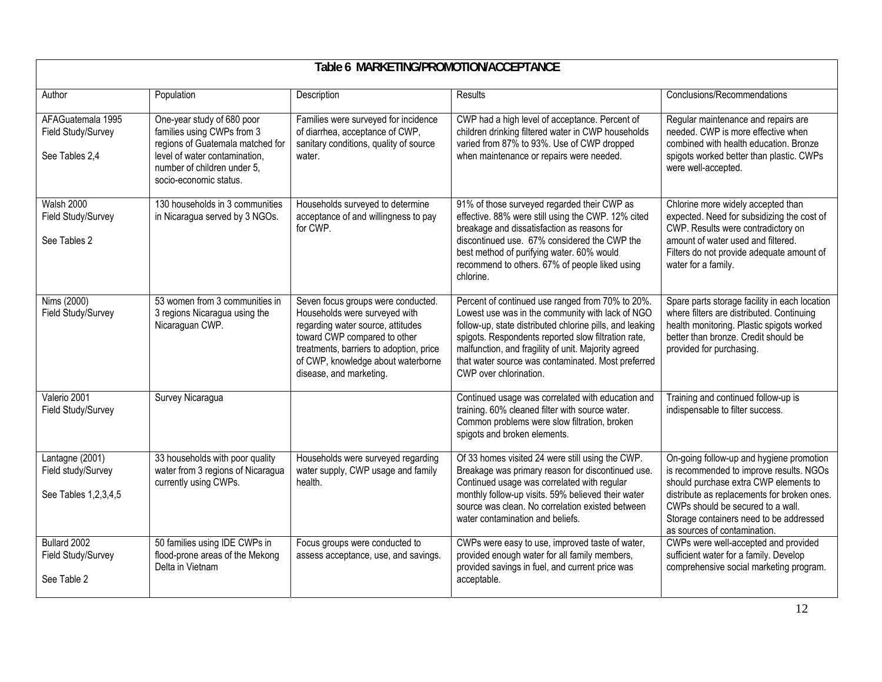| Table 6 MARKETING/PROMOTION/ACCEPTANCE                        |                                                                                                                                                                                        |                                                                                                                                                                                                                                                      |                                                                                                                                                                                                                                                                                                                                                                |                                                                                                                                                                                                                                                                                             |
|---------------------------------------------------------------|----------------------------------------------------------------------------------------------------------------------------------------------------------------------------------------|------------------------------------------------------------------------------------------------------------------------------------------------------------------------------------------------------------------------------------------------------|----------------------------------------------------------------------------------------------------------------------------------------------------------------------------------------------------------------------------------------------------------------------------------------------------------------------------------------------------------------|---------------------------------------------------------------------------------------------------------------------------------------------------------------------------------------------------------------------------------------------------------------------------------------------|
| Author                                                        | Population                                                                                                                                                                             | Description                                                                                                                                                                                                                                          | <b>Results</b>                                                                                                                                                                                                                                                                                                                                                 | Conclusions/Recommendations                                                                                                                                                                                                                                                                 |
| AFAGuatemala 1995<br>Field Study/Survey<br>See Tables 2,4     | One-year study of 680 poor<br>families using CWPs from 3<br>regions of Guatemala matched for<br>level of water contamination,<br>number of children under 5,<br>socio-economic status. | Families were surveyed for incidence<br>of diarrhea, acceptance of CWP,<br>sanitary conditions, quality of source<br>water.                                                                                                                          | CWP had a high level of acceptance. Percent of<br>children drinking filtered water in CWP households<br>varied from 87% to 93%. Use of CWP dropped<br>when maintenance or repairs were needed.                                                                                                                                                                 | Regular maintenance and repairs are<br>needed. CWP is more effective when<br>combined with health education. Bronze<br>spigots worked better than plastic. CWPs<br>were well-accepted.                                                                                                      |
| <b>Walsh 2000</b><br>Field Study/Survey<br>See Tables 2       | 130 households in 3 communities<br>in Nicaragua served by 3 NGOs.                                                                                                                      | Households surveyed to determine<br>acceptance of and willingness to pay<br>for CWP.                                                                                                                                                                 | 91% of those surveyed regarded their CWP as<br>effective. 88% were still using the CWP. 12% cited<br>breakage and dissatisfaction as reasons for<br>discontinued use. 67% considered the CWP the<br>best method of purifying water. 60% would<br>recommend to others. 67% of people liked using<br>chlorine.                                                   | Chlorine more widely accepted than<br>expected. Need for subsidizing the cost of<br>CWP. Results were contradictory on<br>amount of water used and filtered.<br>Filters do not provide adequate amount of<br>water for a family.                                                            |
| Nims (2000)<br>Field Study/Survey                             | 53 women from 3 communities in<br>3 regions Nicaragua using the<br>Nicaraguan CWP.                                                                                                     | Seven focus groups were conducted.<br>Households were surveyed with<br>regarding water source, attitudes<br>toward CWP compared to other<br>treatments, barriers to adoption, price<br>of CWP, knowledge about waterborne<br>disease, and marketing. | Percent of continued use ranged from 70% to 20%.<br>Lowest use was in the community with lack of NGO<br>follow-up, state distributed chlorine pills, and leaking<br>spigots. Respondents reported slow filtration rate,<br>malfunction, and fragility of unit. Majority agreed<br>that water source was contaminated. Most preferred<br>CWP over chlorination. | Spare parts storage facility in each location<br>where filters are distributed. Continuing<br>health monitoring. Plastic spigots worked<br>better than bronze. Credit should be<br>provided for purchasing.                                                                                 |
| Valerio 2001<br>Field Study/Survey                            | Survey Nicaragua                                                                                                                                                                       |                                                                                                                                                                                                                                                      | Continued usage was correlated with education and<br>training. 60% cleaned filter with source water.<br>Common problems were slow filtration, broken<br>spigots and broken elements.                                                                                                                                                                           | Training and continued follow-up is<br>indispensable to filter success.                                                                                                                                                                                                                     |
| Lantagne (2001)<br>Field study/Survey<br>See Tables 1,2,3,4,5 | 33 households with poor quality<br>water from 3 regions of Nicaragua<br>currently using CWPs.                                                                                          | Households were surveyed regarding<br>water supply, CWP usage and family<br>health.                                                                                                                                                                  | Of 33 homes visited 24 were still using the CWP.<br>Breakage was primary reason for discontinued use.<br>Continued usage was correlated with regular<br>monthly follow-up visits. 59% believed their water<br>source was clean. No correlation existed between<br>water contamination and beliefs.                                                             | On-going follow-up and hygiene promotion<br>is recommended to improve results. NGOs<br>should purchase extra CWP elements to<br>distribute as replacements for broken ones.<br>CWPs should be secured to a wall.<br>Storage containers need to be addressed<br>as sources of contamination. |
| Bullard 2002<br>Field Study/Survey<br>See Table 2             | 50 families using IDE CWPs in<br>flood-prone areas of the Mekong<br>Delta in Vietnam                                                                                                   | Focus groups were conducted to<br>assess acceptance, use, and savings.                                                                                                                                                                               | CWPs were easy to use, improved taste of water,<br>provided enough water for all family members,<br>provided savings in fuel, and current price was<br>acceptable.                                                                                                                                                                                             | CWPs were well-accepted and provided<br>sufficient water for a family. Develop<br>comprehensive social marketing program.                                                                                                                                                                   |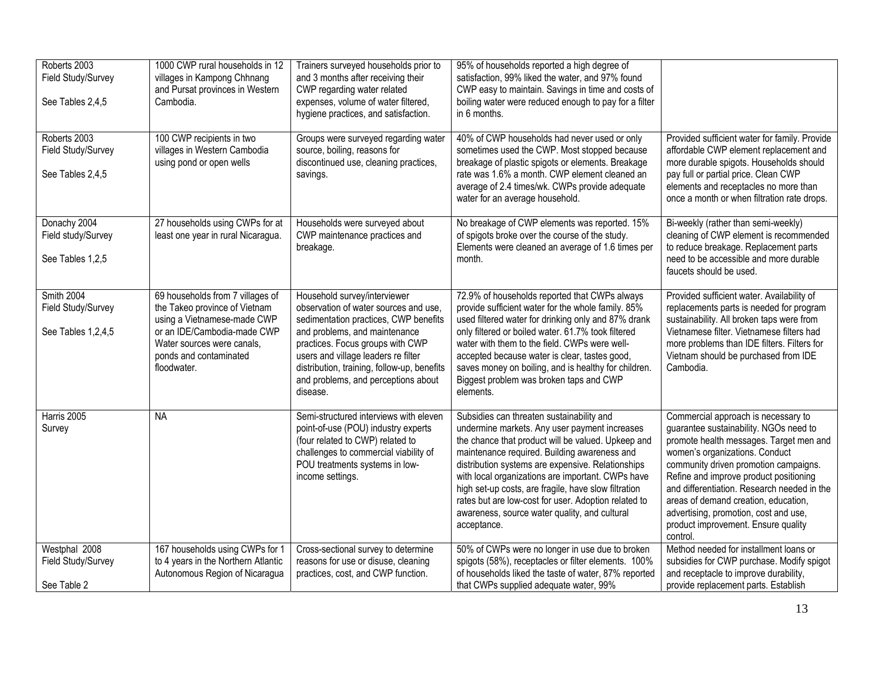| Roberts 2003<br>Field Study/Survey<br>See Tables 2,4,5 | 1000 CWP rural households in 12<br>villages in Kampong Chhnang<br>and Pursat provinces in Western<br>Cambodia.                                                                                         | Trainers surveyed households prior to<br>and 3 months after receiving their<br>CWP regarding water related<br>expenses, volume of water filtered,<br>hygiene practices, and satisfaction.                                                                                                                                    | 95% of households reported a high degree of<br>satisfaction, 99% liked the water, and 97% found<br>CWP easy to maintain. Savings in time and costs of<br>boiling water were reduced enough to pay for a filter<br>in 6 months.                                                                                                                                                                                                                                                             |                                                                                                                                                                                                                                                                                                                                                                                                                                  |
|--------------------------------------------------------|--------------------------------------------------------------------------------------------------------------------------------------------------------------------------------------------------------|------------------------------------------------------------------------------------------------------------------------------------------------------------------------------------------------------------------------------------------------------------------------------------------------------------------------------|--------------------------------------------------------------------------------------------------------------------------------------------------------------------------------------------------------------------------------------------------------------------------------------------------------------------------------------------------------------------------------------------------------------------------------------------------------------------------------------------|----------------------------------------------------------------------------------------------------------------------------------------------------------------------------------------------------------------------------------------------------------------------------------------------------------------------------------------------------------------------------------------------------------------------------------|
| Roberts 2003<br>Field Study/Survey<br>See Tables 2,4,5 | 100 CWP recipients in two<br>villages in Western Cambodia<br>using pond or open wells                                                                                                                  | Groups were surveyed regarding water<br>source, boiling, reasons for<br>discontinued use, cleaning practices,<br>savings.                                                                                                                                                                                                    | 40% of CWP households had never used or only<br>sometimes used the CWP. Most stopped because<br>breakage of plastic spigots or elements. Breakage<br>rate was 1.6% a month. CWP element cleaned an<br>average of 2.4 times/wk. CWPs provide adequate<br>water for an average household.                                                                                                                                                                                                    | Provided sufficient water for family. Provide<br>affordable CWP element replacement and<br>more durable spigots. Households should<br>pay full or partial price. Clean CWP<br>elements and receptacles no more than<br>once a month or when filtration rate drops.                                                                                                                                                               |
| Donachy 2004<br>Field study/Survey<br>See Tables 1,2,5 | 27 households using CWPs for at<br>least one year in rural Nicaragua.                                                                                                                                  | Households were surveyed about<br>CWP maintenance practices and<br>breakage.                                                                                                                                                                                                                                                 | No breakage of CWP elements was reported. 15%<br>of spigots broke over the course of the study.<br>Elements were cleaned an average of 1.6 times per<br>month.                                                                                                                                                                                                                                                                                                                             | Bi-weekly (rather than semi-weekly)<br>cleaning of CWP element is recommended<br>to reduce breakage. Replacement parts<br>need to be accessible and more durable<br>faucets should be used.                                                                                                                                                                                                                                      |
| Smith 2004<br>Field Study/Survey<br>See Tables 1,2,4,5 | 69 households from 7 villages of<br>the Takeo province of Vietnam<br>using a Vietnamese-made CWP<br>or an IDE/Cambodia-made CWP<br>Water sources were canals,<br>ponds and contaminated<br>floodwater. | Household survey/interviewer<br>observation of water sources and use.<br>sedimentation practices, CWP benefits<br>and problems, and maintenance<br>practices. Focus groups with CWP<br>users and village leaders re filter<br>distribution, training, follow-up, benefits<br>and problems, and perceptions about<br>disease. | 72.9% of households reported that CWPs always<br>provide sufficient water for the whole family. 85%<br>used filtered water for drinking only and 87% drank<br>only filtered or boiled water. 61.7% took filtered<br>water with them to the field. CWPs were well-<br>accepted because water is clear, tastes good,<br>saves money on boiling, and is healthy for children.<br>Biggest problem was broken taps and CWP<br>elements.                                                         | Provided sufficient water. Availability of<br>replacements parts is needed for program<br>sustainability. All broken taps were from<br>Vietnamese filter. Vietnamese filters had<br>more problems than IDE filters. Filters for<br>Vietnam should be purchased from IDE<br>Cambodia.                                                                                                                                             |
| Harris 2005<br>Survey                                  | <b>NA</b>                                                                                                                                                                                              | Semi-structured interviews with eleven<br>point-of-use (POU) industry experts<br>(four related to CWP) related to<br>challenges to commercial viability of<br>POU treatments systems in low-<br>income settings.                                                                                                             | Subsidies can threaten sustainability and<br>undermine markets. Any user payment increases<br>the chance that product will be valued. Upkeep and<br>maintenance required. Building awareness and<br>distribution systems are expensive. Relationships<br>with local organizations are important. CWPs have<br>high set-up costs, are fragile, have slow filtration<br>rates but are low-cost for user. Adoption related to<br>awareness, source water quality, and cultural<br>acceptance. | Commercial approach is necessary to<br>guarantee sustainability. NGOs need to<br>promote health messages. Target men and<br>women's organizations. Conduct<br>community driven promotion campaigns.<br>Refine and improve product positioning<br>and differentiation. Research needed in the<br>areas of demand creation, education,<br>advertising, promotion, cost and use,<br>product improvement. Ensure quality<br>control. |
| Westphal 2008<br>Field Study/Survey<br>See Table 2     | 167 households using CWPs for 1<br>to 4 years in the Northern Atlantic<br>Autonomous Region of Nicaragua                                                                                               | Cross-sectional survey to determine<br>reasons for use or disuse, cleaning<br>practices, cost, and CWP function.                                                                                                                                                                                                             | 50% of CWPs were no longer in use due to broken<br>spigots (58%), receptacles or filter elements. 100%<br>of households liked the taste of water, 87% reported<br>that CWPs supplied adequate water, 99%                                                                                                                                                                                                                                                                                   | Method needed for installment loans or<br>subsidies for CWP purchase. Modify spigot<br>and receptacle to improve durability,<br>provide replacement parts. Establish                                                                                                                                                                                                                                                             |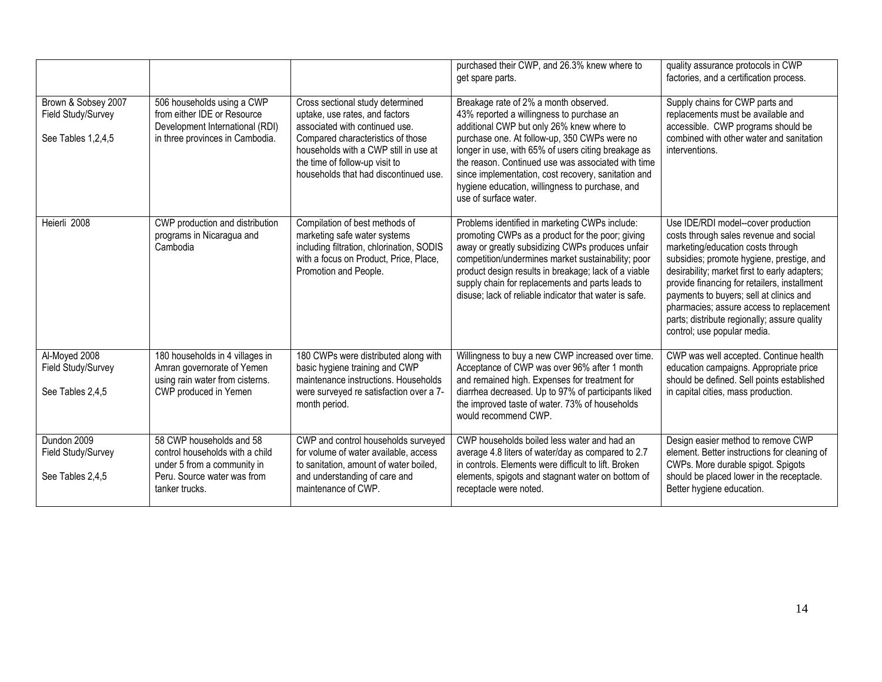|                                                                 |                                                                                                                                             |                                                                                                                                                                                                                                                               | purchased their CWP, and 26.3% knew where to<br>get spare parts.                                                                                                                                                                                                                                                                                                                                                                | quality assurance protocols in CWP<br>factories, and a certification process.                                                                                                                                                                                                                                                                                                                                                          |
|-----------------------------------------------------------------|---------------------------------------------------------------------------------------------------------------------------------------------|---------------------------------------------------------------------------------------------------------------------------------------------------------------------------------------------------------------------------------------------------------------|---------------------------------------------------------------------------------------------------------------------------------------------------------------------------------------------------------------------------------------------------------------------------------------------------------------------------------------------------------------------------------------------------------------------------------|----------------------------------------------------------------------------------------------------------------------------------------------------------------------------------------------------------------------------------------------------------------------------------------------------------------------------------------------------------------------------------------------------------------------------------------|
| Brown & Sobsey 2007<br>Field Study/Survey<br>See Tables 1,2,4,5 | 506 households using a CWP<br>from either IDE or Resource<br>Development International (RDI)<br>in three provinces in Cambodia.             | Cross sectional study determined<br>uptake, use rates, and factors<br>associated with continued use.<br>Compared characteristics of those<br>households with a CWP still in use at<br>the time of follow-up visit to<br>households that had discontinued use. | Breakage rate of 2% a month observed.<br>43% reported a willingness to purchase an<br>additional CWP but only 26% knew where to<br>purchase one. At follow-up, 350 CWPs were no<br>longer in use, with 65% of users citing breakage as<br>the reason. Continued use was associated with time<br>since implementation, cost recovery, sanitation and<br>hygiene education, willingness to purchase, and<br>use of surface water. | Supply chains for CWP parts and<br>replacements must be available and<br>accessible. CWP programs should be<br>combined with other water and sanitation<br>interventions.                                                                                                                                                                                                                                                              |
| Heierli 2008                                                    | CWP production and distribution<br>programs in Nicaragua and<br>Cambodia                                                                    | Compilation of best methods of<br>marketing safe water systems<br>including filtration, chlorination, SODIS<br>with a focus on Product, Price, Place,<br>Promotion and People.                                                                                | Problems identified in marketing CWPs include:<br>promoting CWPs as a product for the poor; giving<br>away or greatly subsidizing CWPs produces unfair<br>competition/undermines market sustainability; poor<br>product design results in breakage; lack of a viable<br>supply chain for replacements and parts leads to<br>disuse; lack of reliable indicator that water is safe.                                              | Use IDE/RDI model--cover production<br>costs through sales revenue and social<br>marketing/education costs through<br>subsidies; promote hygiene, prestige, and<br>desirability; market first to early adapters;<br>provide financing for retailers, installment<br>payments to buyers; sell at clinics and<br>pharmacies; assure access to replacement<br>parts; distribute regionally; assure quality<br>control; use popular media. |
| Al-Moyed 2008<br>Field Study/Survey<br>See Tables 2,4,5         | 180 households in 4 villages in<br>Amran governorate of Yemen<br>using rain water from cisterns.<br>CWP produced in Yemen                   | 180 CWPs were distributed along with<br>basic hygiene training and CWP<br>maintenance instructions. Households<br>were surveyed re satisfaction over a 7-<br>month period.                                                                                    | Willingness to buy a new CWP increased over time.<br>Acceptance of CWP was over 96% after 1 month<br>and remained high. Expenses for treatment for<br>diarrhea decreased. Up to 97% of participants liked<br>the improved taste of water. 73% of households<br>would recommend CWP.                                                                                                                                             | CWP was well accepted. Continue health<br>education campaigns. Appropriate price<br>should be defined. Sell points established<br>in capital cities, mass production.                                                                                                                                                                                                                                                                  |
| Dundon 2009<br>Field Study/Survey<br>See Tables 2,4,5           | 58 CWP households and 58<br>control households with a child<br>under 5 from a community in<br>Peru. Source water was from<br>tanker trucks. | CWP and control households surveyed<br>for volume of water available, access<br>to sanitation, amount of water boiled,<br>and understanding of care and<br>maintenance of CWP.                                                                                | CWP households boiled less water and had an<br>average 4.8 liters of water/day as compared to 2.7<br>in controls. Elements were difficult to lift. Broken<br>elements, spigots and stagnant water on bottom of<br>receptacle were noted.                                                                                                                                                                                        | Design easier method to remove CWP<br>element. Better instructions for cleaning of<br>CWPs. More durable spigot. Spigots<br>should be placed lower in the receptacle.<br>Better hygiene education.                                                                                                                                                                                                                                     |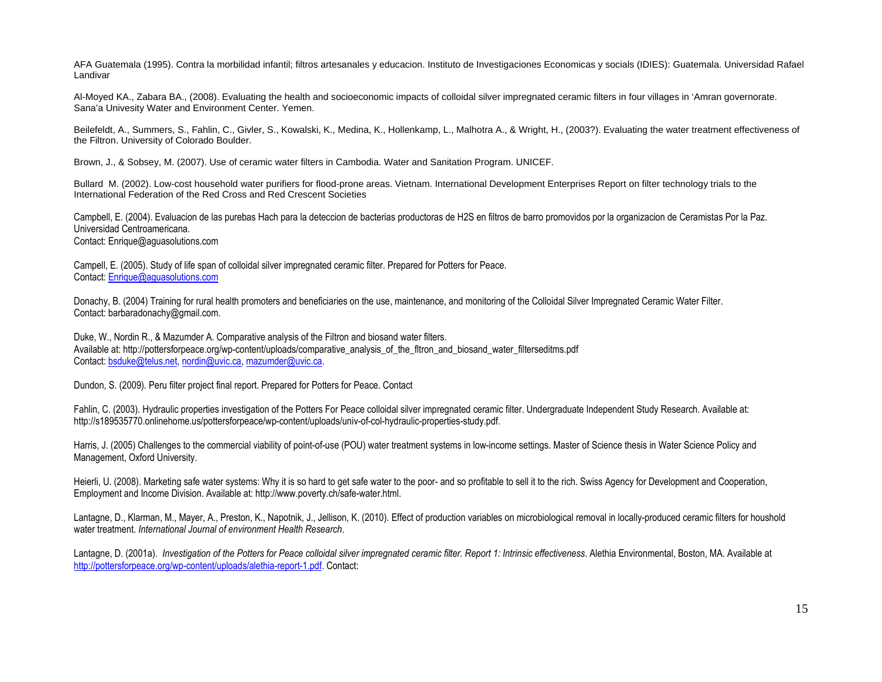AFA Guatemala (1995). Contra la morbilidad infantil; filtros artesanales y educacion. Instituto de Investigaciones Economicas y socials (IDIES): Guatemala. Universidad Rafael Landivar

Al-Moyed KA., Zabara BA., (2008). Evaluating the health and socioeconomic impacts of colloidal silver impregnated ceramic filters in four villages in 'Amran governorate. Sana'a Univesity Water and Environment Center. Yemen.

Beilefeldt, A., Summers, S., Fahlin, C., Givler, S., Kowalski, K., Medina, K., Hollenkamp, L., Malhotra A., & Wright, H., (2003?). Evaluating the water treatment effectiveness of the Filtron. University of Colorado Boulder.

Brown, J., & Sobsey, M. (2007). Use of ceramic water filters in Cambodia. Water and Sanitation Program. UNICEF.

Bullard M. (2002). Low-cost household water purifiers for flood-prone areas. Vietnam. International Development Enterprises Report on filter technology trials to the International Federation of the Red Cross and Red Crescent Societies

Campbell, E. (2004). Evaluacion de las purebas Hach para la deteccion de bacterias productoras de H2S en filtros de barro promovidos por la organizacion de Ceramistas Por la Paz. Universidad Centroamericana. Contact: Enrique@aguasolutions.com

Campell, E. (2005). Study of life span of colloidal silver impregnated ceramic filter. Prepared for Potters for Peace. Contact: Enrique@aguasolutions.com

Donachy, B. (2004) Training for rural health promoters and beneficiaries on the use, maintenance, and monitoring of the Colloidal Silver Impregnated Ceramic Water Filter. Contact: barbaradonachy@gmail.com.

Duke, W., Nordin R., & Mazumder A. Comparative analysis of the Filtron and biosand water filters. Available at: http://pottersforpeace.org/wp-content/uploads/comparative\_analysis\_of\_the\_fltron\_and\_biosand\_water\_filterseditms.pdf Contact: bsduke@telus.net, nordin@uvic.ca, mazumder@uvic.ca.

Dundon, S. (2009). Peru filter project final report. Prepared for Potters for Peace. Contact

Fahlin, C. (2003). Hydraulic properties investigation of the Potters For Peace colloidal silver impregnated ceramic filter. Undergraduate Independent Study Research. Available at: http://s189535770.onlinehome.us/pottersforpeace/wp-content/uploads/univ-of-col-hydraulic-properties-study.pdf.

Harris, J. (2005) Challenges to the commercial viability of point-of-use (POU) water treatment systems in low-income settings. Master of Science thesis in Water Science Policy and Management, Oxford University.

Heierli, U. (2008). Marketing safe water systems: Why it is so hard to get safe water to the poor- and so profitable to sell it to the rich. Swiss Agency for Development and Cooperation, Employment and Income Division. Available at: http://www.poverty.ch/safe-water.html.

Lantagne, D., Klarman, M., Mayer, A., Preston, K., Napotnik, J., Jellison, K. (2010). Effect of production variables on microbiological removal in locally-produced ceramic filters for houshold water treatment. *International Journal of environment Health Research*.

Lantagne, D. (2001a). *Investigation of the Potters for Peace colloidal silver impregnated ceramic filter. Report 1: Intrinsic effectiveness*. Alethia Environmental, Boston, MA. Available at http://pottersforpeace.org/wp-content/uploads/alethia-report-1.pdf. Contact: